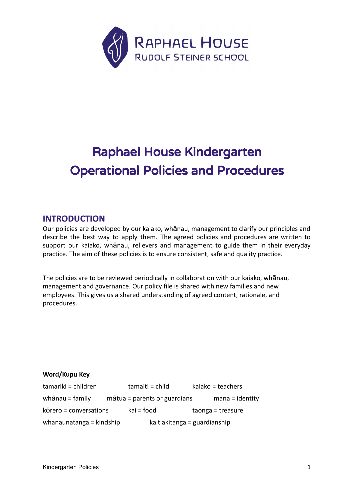

# Raphael House Kindergarten Operational Policies and Procedures

# **INTRODUCTION**

Our policies are developed by our kaiako, whānau, management to clarify our principles and describe the best way to apply them. The agreed policies and procedures are written to support our kaiako, whānau, relievers and management to guide them in their everyday practice. The aim of these policies is to ensure consistent, safe and quality practice.

The policies are to be reviewed periodically in collaboration with our kaiako, whānau, management and governance. Our policy file is shared with new families and new employees. This gives us a shared understanding of agreed content, rationale, and procedures.

### **Word/Kupu Key**

| tamariki = children      | tamaiti = child                       | kaiako = teachers            |
|--------------------------|---------------------------------------|------------------------------|
| whānau = family          | $m\bar{a}$ tua = parents or guardians | $mana = identity$            |
| kōrero = conversations   | kai = food                            | taonga = treasure            |
| whanaunatanga = kindship |                                       | kaitiakitanga = guardianship |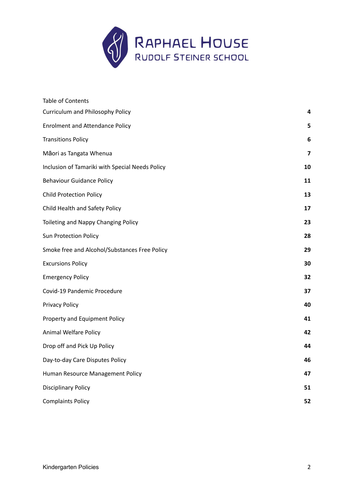

| <b>Table of Contents</b>                        |    |
|-------------------------------------------------|----|
| <b>Curriculum and Philosophy Policy</b>         | 4  |
| <b>Enrolment and Attendance Policy</b>          | 5  |
| <b>Transitions Policy</b>                       | 6  |
| Māori as Tangata Whenua                         | 7  |
| Inclusion of Tamariki with Special Needs Policy | 10 |
| <b>Behaviour Guidance Policy</b>                | 11 |
| <b>Child Protection Policy</b>                  | 13 |
| Child Health and Safety Policy                  | 17 |
| Toileting and Nappy Changing Policy             | 23 |
| <b>Sun Protection Policy</b>                    | 28 |
| Smoke free and Alcohol/Substances Free Policy   | 29 |
| <b>Excursions Policy</b>                        | 30 |
| <b>Emergency Policy</b>                         | 32 |
| Covid-19 Pandemic Procedure                     | 37 |
| <b>Privacy Policy</b>                           | 40 |
| Property and Equipment Policy                   | 41 |
| Animal Welfare Policy                           | 42 |
| Drop off and Pick Up Policy                     | 44 |
| Day-to-day Care Disputes Policy                 | 46 |
| Human Resource Management Policy                | 47 |
| <b>Disciplinary Policy</b>                      | 51 |
| <b>Complaints Policy</b>                        | 52 |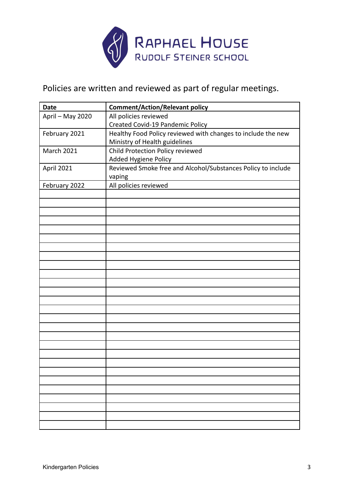

Policies are written and reviewed as part of regular meetings.

| <b>Date</b>       | <b>Comment/Action/Relevant policy</b>                        |
|-------------------|--------------------------------------------------------------|
| April - May 2020  | All policies reviewed                                        |
|                   | <b>Created Covid-19 Pandemic Policy</b>                      |
| February 2021     | Healthy Food Policy reviewed with changes to include the new |
|                   | Ministry of Health guidelines                                |
| <b>March 2021</b> | Child Protection Policy reviewed                             |
|                   | Added Hygiene Policy                                         |
| April 2021        | Reviewed Smoke free and Alcohol/Substances Policy to include |
|                   | vaping                                                       |
| February 2022     | All policies reviewed                                        |
|                   |                                                              |
|                   |                                                              |
|                   |                                                              |
|                   |                                                              |
|                   |                                                              |
|                   |                                                              |
|                   |                                                              |
|                   |                                                              |
|                   |                                                              |
|                   |                                                              |
|                   |                                                              |
|                   |                                                              |
|                   |                                                              |
|                   |                                                              |
|                   |                                                              |
|                   |                                                              |
|                   |                                                              |
|                   |                                                              |
|                   |                                                              |
|                   |                                                              |
|                   |                                                              |
|                   |                                                              |
|                   |                                                              |
|                   |                                                              |
|                   |                                                              |
|                   |                                                              |
|                   |                                                              |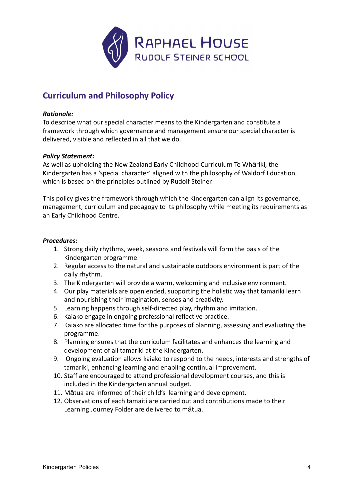

# <span id="page-3-0"></span>**Curriculum and Philosophy Policy**

### *Rationale:*

To describe what our special character means to the Kindergarten and constitute a framework through which governance and management ensure our special character is delivered, visible and reflected in all that we do.

### *Policy Statement:*

As well as upholding the New Zealand Early Childhood Curriculum Te Whāriki, the Kindergarten has a 'special character' aligned with the philosophy of Waldorf Education, which is based on the principles outlined by Rudolf Steiner.

This policy gives the framework through which the Kindergarten can align its governance, management, curriculum and pedagogy to its philosophy while meeting its requirements as an Early Childhood Centre.

- 1. Strong daily rhythms, week, seasons and festivals will form the basis of the Kindergarten programme.
- 2. Regular access to the natural and sustainable outdoors environment is part of the daily rhythm.
- 3. The Kindergarten will provide a warm, welcoming and inclusive environment.
- 4. Our play materials are open ended, supporting the holistic way that tamariki learn and nourishing their imagination, senses and creativity.
- 5. Learning happens through self-directed play, rhythm and imitation.
- 6. Kaiako engage in ongoing professional reflective practice.
- 7. Kaiako are allocated time for the purposes of planning, assessing and evaluating the programme.
- 8. Planning ensures that the curriculum facilitates and enhances the learning and development of all tamariki at the Kindergarten.
- 9. Ongoing evaluation allows kaiako to respond to the needs, interests and strengths of tamariki, enhancing learning and enabling continual improvement.
- 10. Staff are encouraged to attend professional development courses, and this is included in the Kindergarten annual budget.
- 11. Mātua are informed of their child's learning and development.
- 12. Observations of each tamaiti are carried out and contributions made to their Learning Journey Folder are delivered to mātua.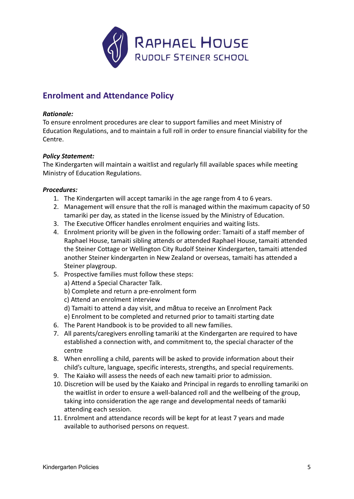

# <span id="page-4-0"></span>**Enrolment and Attendance Policy**

### *Rationale:*

To ensure enrolment procedures are clear to support families and meet Ministry of Education Regulations, and to maintain a full roll in order to ensure financial viability for the Centre.

# *Policy Statement:*

The Kindergarten will maintain a waitlist and regularly fill available spaces while meeting Ministry of Education Regulations.

- 1. The Kindergarten will accept tamariki in the age range from 4 to 6 years.
- 2. Management will ensure that the roll is managed within the maximum capacity of 50 tamariki per day, as stated in the license issued by the Ministry of Education.
- 3. The Executive Officer handles enrolment enquiries and waiting lists.
- 4. Enrolment priority will be given in the following order: Tamaiti of a staff member of Raphael House, tamaiti sibling attends or attended Raphael House, tamaiti attended the Steiner Cottage or Wellington City Rudolf Steiner Kindergarten, tamaiti attended another Steiner kindergarten in New Zealand or overseas, tamaiti has attended a Steiner playgroup.
- 5. Prospective families must follow these steps:
	- a) Attend a Special Character Talk.
	- b) Complete and return a pre-enrolment form
	- c) Attend an enrolment interview
	- d) Tamaiti to attend a day visit, and mātua to receive an Enrolment Pack
	- e) Enrolment to be completed and returned prior to tamaiti starting date
- 6. The Parent Handbook is to be provided to all new families.
- 7. All parents/caregivers enrolling tamariki at the Kindergarten are required to have established a connection with, and commitment to, the special character of the centre
- 8. When enrolling a child, parents will be asked to provide information about their child's culture, language, specific interests, strengths, and special requirements.
- 9. The Kaiako will assess the needs of each new tamaiti prior to admission.
- 10. Discretion will be used by the Kaiako and Principal in regards to enrolling tamariki on the waitlist in order to ensure a well-balanced roll and the wellbeing of the group, taking into consideration the age range and developmental needs of tamariki attending each session.
- 11. Enrolment and attendance records will be kept for at least 7 years and made available to authorised persons on request.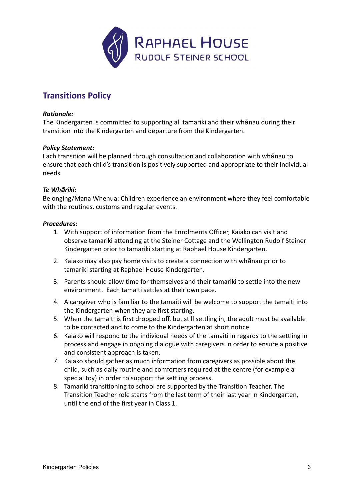

# <span id="page-5-0"></span>**Transitions Policy**

### *Rationale:*

The Kindergarten is committed to supporting all tamariki and their whānau during their transition into the Kindergarten and departure from the Kindergarten.

### *Policy Statement:*

Each transition will be planned through consultation and collaboration with whānau to ensure that each child's transition is positively supported and appropriate to their individual needs.

#### *Te Whāriki:*

Belonging/Mana Whenua: Children experience an environment where they feel comfortable with the routines, customs and regular events.

- 1. With support of information from the Enrolments Officer, Kaiako can visit and observe tamariki attending at the Steiner Cottage and the Wellington Rudolf Steiner Kindergarten prior to tamariki starting at Raphael House Kindergarten.
- 2. Kaiako may also pay home visits to create a connection with whānau prior to tamariki starting at Raphael House Kindergarten.
- 3. Parents should allow time for themselves and their tamariki to settle into the new environment. Each tamaiti settles at their own pace.
- 4. A caregiver who is familiar to the tamaiti will be welcome to support the tamaiti into the Kindergarten when they are first starting.
- 5. When the tamaiti is first dropped off, but still settling in, the adult must be available to be contacted and to come to the Kindergarten at short notice.
- 6. Kaiako will respond to the individual needs of the tamaiti in regards to the settling in process and engage in ongoing dialogue with caregivers in order to ensure a positive and consistent approach is taken.
- 7. Kaiako should gather as much information from caregivers as possible about the child, such as daily routine and comforters required at the centre (for example a special toy) in order to support the settling process.
- 8. Tamariki transitioning to school are supported by the Transition Teacher. The Transition Teacher role starts from the last term of their last year in Kindergarten, until the end of the first year in Class 1.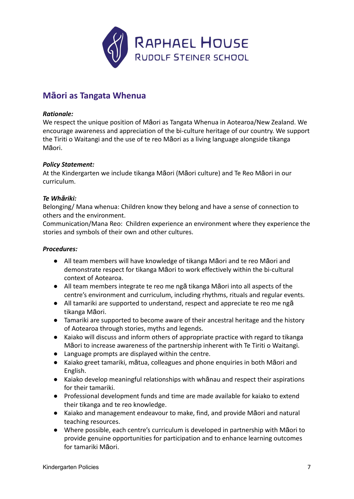

# <span id="page-6-0"></span>**Māori as Tangata Whenua**

### *Rationale:*

We respect the unique position of Māori as Tangata Whenua in Aotearoa/New Zealand. We encourage awareness and appreciation of the bi-culture heritage of our country. We support the Tiriti o Waitangi and the use of te reo Māori as a living language alongside tikanga Māori.

# *Policy Statement:*

At the Kindergarten we include tikanga Māori (Māori culture) and Te Reo Māori in our curriculum.

# *Te Whāriki:*

Belonging/ Mana whenua: Children know they belong and have a sense of connection to others and the environment.

Communication/Mana Reo: Children experience an environment where they experience the stories and symbols of their own and other cultures.

- All team members will have knowledge of tikanga Māori and te reo Māori and demonstrate respect for tikanga Māori to work effectively within the bi-cultural context of Aotearoa.
- All team members integrate te reo me ngā tikanga Māori into all aspects of the centre's environment and curriculum, including rhythms, rituals and regular events.
- All tamariki are supported to understand, respect and appreciate te reo me ngā tikanga Māori.
- Tamariki are supported to become aware of their ancestral heritage and the history of Aotearoa through stories, myths and legends.
- Kaiako will discuss and inform others of appropriate practice with regard to tikanga Māori to increase awareness of the partnership inherent with Te Tiriti o Waitangi.
- Language prompts are displayed within the centre.
- Kaiako greet tamariki, mātua, colleagues and phone enquiries in both Māori and English.
- Kaiako develop meaningful relationships with whānau and respect their aspirations for their tamariki.
- Professional development funds and time are made available for kaiako to extend their tikanga and te reo knowledge.
- Kaiako and management endeavour to make, find, and provide Māori and natural teaching resources.
- Where possible, each centre's curriculum is developed in partnership with Māori to provide genuine opportunities for participation and to enhance learning outcomes for tamariki Māori.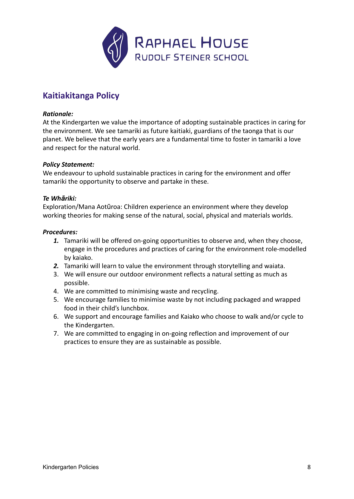

# **Kaitiakitanga Policy**

### *Rationale:*

At the Kindergarten we value the importance of adopting sustainable practices in caring for the environment. We see tamariki as future kaitiaki, guardians of the taonga that is our planet. We believe that the early years are a fundamental time to foster in tamariki a love and respect for the natural world.

### *Policy Statement:*

We endeavour to uphold sustainable practices in caring for the environment and offer tamariki the opportunity to observe and partake in these.

# *Te Whāriki:*

Exploration/Mana Aotūroa: Children experience an environment where they develop working theories for making sense of the natural, social, physical and materials worlds.

- *1.* Tamariki will be offered on-going opportunities to observe and, when they choose, engage in the procedures and practices of caring for the environment role-modelled by kaiako.
- *2.* Tamariki will learn to value the environment through storytelling and waiata.
- 3. We will ensure our outdoor environment reflects a natural setting as much as possible.
- 4. We are committed to minimising waste and recycling.
- 5. We encourage families to minimise waste by not including packaged and wrapped food in their child's lunchbox.
- 6. We support and encourage families and Kaiako who choose to walk and/or cycle to the Kindergarten.
- 7. We are committed to engaging in on-going reflection and improvement of our practices to ensure they are as sustainable as possible.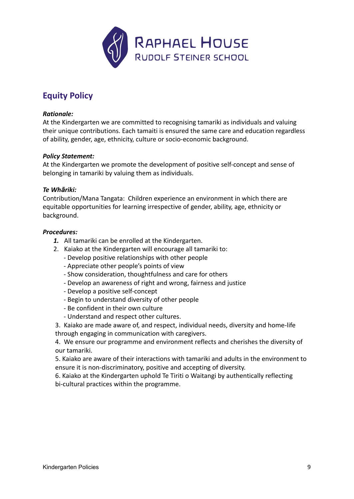

# **Equity Policy**

### *Rationale:*

At the Kindergarten we are committed to recognising tamariki as individuals and valuing their unique contributions. Each tamaiti is ensured the same care and education regardless of ability, gender, age, ethnicity, culture or socio-economic background.

### *Policy Statement:*

At the Kindergarten we promote the development of positive self-concept and sense of belonging in tamariki by valuing them as individuals.

### *Te Whāriki:*

Contribution/Mana Tangata: Children experience an environment in which there are equitable opportunities for learning irrespective of gender, ability, age, ethnicity or background.

### *Procedures:*

- *1.* All tamariki can be enrolled at the Kindergarten.
- 2. Kaiako at the Kindergarten will encourage all tamariki to:
	- Develop positive relationships with other people
	- Appreciate other people's points of view
	- Show consideration, thoughtfulness and care for others
	- Develop an awareness of right and wrong, fairness and justice
	- Develop a positive self-concept
	- Begin to understand diversity of other people
	- Be confident in their own culture
	- Understand and respect other cultures.

3. Kaiako are made aware of, and respect, individual needs, diversity and home-life through engaging in communication with caregivers.

4. We ensure our programme and environment reflects and cherishes the diversity of our tamariki.

5. Kaiako are aware of their interactions with tamariki and adults in the environment to ensure it is non-discriminatory, positive and accepting of diversity.

6. Kaiako at the Kindergarten uphold Te Tiriti o Waitangi by authentically reflecting bi-cultural practices within the programme.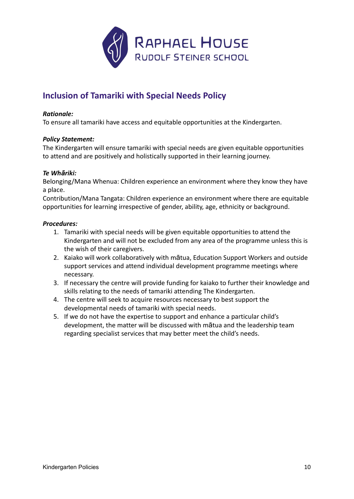

# <span id="page-9-0"></span>**Inclusion of Tamariki with Special Needs Policy**

### *Rationale:*

To ensure all tamariki have access and equitable opportunities at the Kindergarten.

### *Policy Statement:*

The Kindergarten will ensure tamariki with special needs are given equitable opportunities to attend and are positively and holistically supported in their learning journey.

### *Te Whāriki:*

Belonging/Mana Whenua: Children experience an environment where they know they have a place.

Contribution/Mana Tangata: Children experience an environment where there are equitable opportunities for learning irrespective of gender, ability, age, ethnicity or background.

- 1. Tamariki with special needs will be given equitable opportunities to attend the Kindergarten and will not be excluded from any area of the programme unless this is the wish of their caregivers.
- 2. Kaiako will work collaboratively with mātua, Education Support Workers and outside support services and attend individual development programme meetings where necessary.
- 3. If necessary the centre will provide funding for kaiako to further their knowledge and skills relating to the needs of tamariki attending The Kindergarten.
- 4. The centre will seek to acquire resources necessary to best support the developmental needs of tamariki with special needs.
- 5. If we do not have the expertise to support and enhance a particular child's development, the matter will be discussed with mātua and the leadership team regarding specialist services that may better meet the child's needs.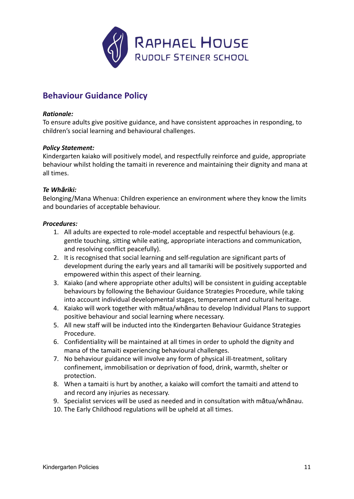

# <span id="page-10-0"></span>**Behaviour Guidance Policy**

### *Rationale:*

To ensure adults give positive guidance, and have consistent approaches in responding, to children's social learning and behavioural challenges.

#### *Policy Statement:*

Kindergarten kaiako will positively model, and respectfully reinforce and guide, appropriate behaviour whilst holding the tamaiti in reverence and maintaining their dignity and mana at all times.

#### *Te Whāriki:*

Belonging/Mana Whenua: Children experience an environment where they know the limits and boundaries of acceptable behaviour.

- 1. All adults are expected to role-model acceptable and respectful behaviours (e.g. gentle touching, sitting while eating, appropriate interactions and communication, and resolving conflict peacefully).
- 2. It is recognised that social learning and self-regulation are significant parts of development during the early years and all tamariki will be positively supported and empowered within this aspect of their learning.
- 3. Kaiako (and where appropriate other adults) will be consistent in guiding acceptable behaviours by following the Behaviour Guidance Strategies Procedure, while taking into account individual developmental stages, temperament and cultural heritage.
- 4. Kaiako will work together with mātua/whānau to develop Individual Plans to support positive behaviour and social learning where necessary.
- 5. All new staff will be inducted into the Kindergarten Behaviour Guidance Strategies Procedure.
- 6. Confidentiality will be maintained at all times in order to uphold the dignity and mana of the tamaiti experiencing behavioural challenges.
- 7. No behaviour guidance will involve any form of physical ill-treatment, solitary confinement, immobilisation or deprivation of food, drink, warmth, shelter or protection.
- 8. When a tamaiti is hurt by another, a kaiako will comfort the tamaiti and attend to and record any injuries as necessary.
- 9. Specialist services will be used as needed and in consultation with mātua/whānau.
- 10. The Early Childhood regulations will be upheld at all times.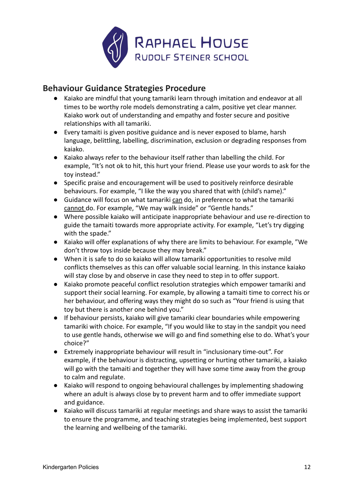

# **Behaviour Guidance Strategies Procedure**

- Kaiako are mindful that young tamariki learn through imitation and endeavor at all times to be worthy role models demonstrating a calm, positive yet clear manner. Kaiako work out of understanding and empathy and foster secure and positive relationships with all tamariki.
- Every tamaiti is given positive guidance and is never exposed to blame, harsh language, belittling, labelling, discrimination, exclusion or degrading responses from kaiako.
- Kaiako always refer to the behaviour itself rather than labelling the child. For example, "It's not ok to hit, this hurt your friend. Please use your words to ask for the toy instead."
- Specific praise and encouragement will be used to positively reinforce desirable behaviours. For example, "I like the way you shared that with (child's name)."
- Guidance will focus on what tamariki can do, in preference to what the tamariki cannot do. For example, "We may walk inside" or "Gentle hands."
- Where possible kaiako will anticipate inappropriate behaviour and use re-direction to guide the tamaiti towards more appropriate activity. For example, "Let's try digging with the spade."
- Kaiako will offer explanations of why there are limits to behaviour. For example, "We don't throw toys inside because they may break."
- When it is safe to do so kaiako will allow tamariki opportunities to resolve mild conflicts themselves as this can offer valuable social learning. In this instance kaiako will stay close by and observe in case they need to step in to offer support.
- Kaiako promote peaceful conflict resolution strategies which empower tamariki and support their social learning. For example, by allowing a tamaiti time to correct his or her behaviour, and offering ways they might do so such as "Your friend is using that toy but there is another one behind you."
- If behaviour persists, kaiako will give tamariki clear boundaries while empowering tamariki with choice. For example, "If you would like to stay in the sandpit you need to use gentle hands, otherwise we will go and find something else to do. What's your choice?"
- Extremely inappropriate behaviour will result in "inclusionary time-out". For example, if the behaviour is distracting, upsetting or hurting other tamariki, a kaiako will go with the tamaiti and together they will have some time away from the group to calm and regulate.
- Kaiako will respond to ongoing behavioural challenges by implementing shadowing where an adult is always close by to prevent harm and to offer immediate support and guidance.
- Kaiako will discuss tamariki at regular meetings and share ways to assist the tamariki to ensure the programme, and teaching strategies being implemented, best support the learning and wellbeing of the tamariki.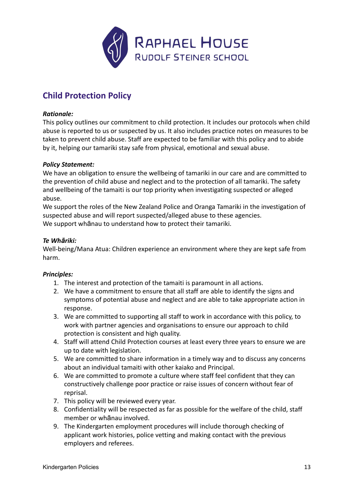

# <span id="page-12-0"></span>**Child Protection Policy**

# *Rationale:*

This policy outlines our commitment to child protection. It includes our protocols when child abuse is reported to us or suspected by us. It also includes practice notes on measures to be taken to prevent child abuse. Staff are expected to be familiar with this policy and to abide by it, helping our tamariki stay safe from physical, emotional and sexual abuse.

### *Policy Statement:*

We have an obligation to ensure the wellbeing of tamariki in our care and are committed to the prevention of child abuse and neglect and to the protection of all tamariki. The safety and wellbeing of the tamaiti is our top priority when investigating suspected or alleged abuse.

We support the roles of the New Zealand Police and Oranga Tamariki in the investigation of suspected abuse and will report suspected/alleged abuse to these agencies. We support whānau to understand how to protect their tamariki.

# *Te Whāriki:*

Well-being/Mana Atua: Children experience an environment where they are kept safe from harm.

### *Principles:*

- 1. The interest and protection of the tamaiti is paramount in all actions.
- 2. We have a commitment to ensure that all staff are able to identify the signs and symptoms of potential abuse and neglect and are able to take appropriate action in response.
- 3. We are committed to supporting all staff to work in accordance with this policy, to work with partner agencies and organisations to ensure our approach to child protection is consistent and high quality.
- 4. Staff will attend Child Protection courses at least every three years to ensure we are up to date with legislation.
- 5. We are committed to share information in a timely way and to discuss any concerns about an individual tamaiti with other kaiako and Principal.
- 6. We are committed to promote a culture where staff feel confident that they can constructively challenge poor practice or raise issues of concern without fear of reprisal.
- 7. This policy will be reviewed every year.
- 8. Confidentiality will be respected as far as possible for the welfare of the child, staff member or whānau involved.
- 9. The Kindergarten employment procedures will include thorough checking of applicant work histories, police vetting and making contact with the previous employers and referees.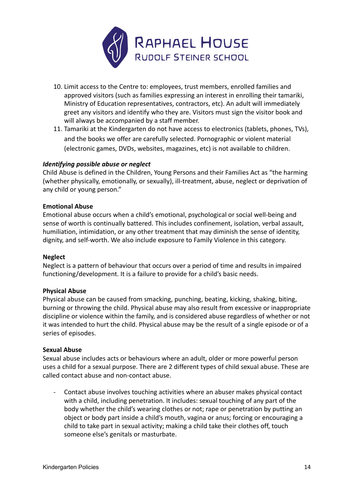

- 10. Limit access to the Centre to: employees, trust members, enrolled families and approved visitors (such as families expressing an interest in enrolling their tamariki, Ministry of Education representatives, contractors, etc). An adult will immediately greet any visitors and identify who they are. Visitors must sign the visitor book and will always be accompanied by a staff member.
- 11. Tamariki at the Kindergarten do not have access to electronics (tablets, phones, TVs), and the books we offer are carefully selected. Pornographic or violent material (electronic games, DVDs, websites, magazines, etc) is not available to children.

# *Identifying possible abuse or neglect*

Child Abuse is defined in the Children, Young Persons and their Families Act as "the harming (whether physically, emotionally, or sexually), ill-treatment, abuse, neglect or deprivation of any child or young person."

### **Emotional Abuse**

Emotional abuse occurs when a child's emotional, psychological or social well-being and sense of worth is continually battered. This includes confinement, isolation, verbal assault, humiliation, intimidation, or any other treatment that may diminish the sense of identity, dignity, and self-worth. We also include exposure to Family Violence in this category.

### **Neglect**

Neglect is a pattern of behaviour that occurs over a period of time and results in impaired functioning/development. It is a failure to provide for a child's basic needs.

### **Physical Abuse**

Physical abuse can be caused from smacking, punching, beating, kicking, shaking, biting, burning or throwing the child. Physical abuse may also result from excessive or inappropriate discipline or violence within the family, and is considered abuse regardless of whether or not it was intended to hurt the child. Physical abuse may be the result of a single episode or of a series of episodes.

#### **Sexual Abuse**

Sexual abuse includes acts or behaviours where an adult, older or more powerful person uses a child for a sexual purpose. There are 2 different types of child sexual abuse. These are called contact abuse and non-contact abuse.

- Contact abuse involves touching activities where an abuser makes physical contact with a child, including penetration. It includes: sexual touching of any part of the body whether the child's wearing clothes or not; rape or penetration by putting an object or body part inside a child's mouth, vagina or anus; forcing or encouraging a child to take part in sexual activity; making a child take their clothes off, touch someone else's genitals or masturbate.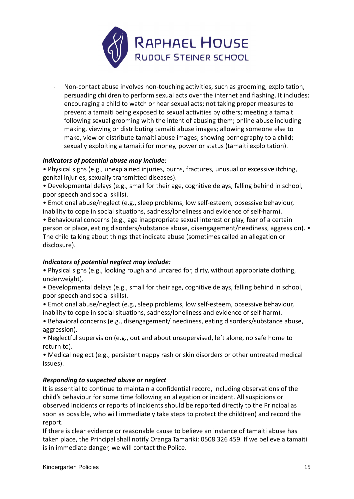

Non-contact abuse involves non-touching activities, such as grooming, exploitation, persuading children to perform sexual acts over the internet and flashing. It includes: encouraging a child to watch or hear sexual acts; not taking proper measures to prevent a tamaiti being exposed to sexual activities by others; meeting a tamaiti following sexual grooming with the intent of abusing them; online abuse including making, viewing or distributing tamaiti abuse images; allowing someone else to make, view or distribute tamaiti abuse images; showing pornography to a child; sexually exploiting a tamaiti for money, power or status (tamaiti exploitation).

# *Indicators of potential abuse may include:*

• Physical signs (e.g., unexplained injuries, burns, fractures, unusual or excessive itching, genital injuries, sexually transmitted diseases).

• Developmental delays (e.g., small for their age, cognitive delays, falling behind in school, poor speech and social skills).

• Emotional abuse/neglect (e.g., sleep problems, low self-esteem, obsessive behaviour, inability to cope in social situations, sadness/loneliness and evidence of self-harm).

• Behavioural concerns (e.g., age inappropriate sexual interest or play, fear of a certain person or place, eating disorders/substance abuse, disengagement/neediness, aggression). • The child talking about things that indicate abuse (sometimes called an allegation or disclosure).

# *Indicators of potential neglect may include:*

• Physical signs (e.g., looking rough and uncared for, dirty, without appropriate clothing, underweight).

• Developmental delays (e.g., small for their age, cognitive delays, falling behind in school, poor speech and social skills).

• Emotional abuse/neglect (e.g., sleep problems, low self-esteem, obsessive behaviour, inability to cope in social situations, sadness/loneliness and evidence of self-harm).

• Behavioral concerns (e.g., disengagement/ neediness, eating disorders/substance abuse, aggression).

• Neglectful supervision (e.g., out and about unsupervised, left alone, no safe home to return to).

• Medical neglect (e.g., persistent nappy rash or skin disorders or other untreated medical issues).

# *Responding to suspected abuse or neglect*

It is essential to continue to maintain a confidential record, including observations of the child's behaviour for some time following an allegation or incident. All suspicions or observed incidents or reports of incidents should be reported directly to the Principal as soon as possible, who will immediately take steps to protect the child(ren) and record the report.

If there is clear evidence or reasonable cause to believe an instance of tamaiti abuse has taken place, the Principal shall notify Oranga Tamariki: 0508 326 459. If we believe a tamaiti is in immediate danger, we will contact the Police.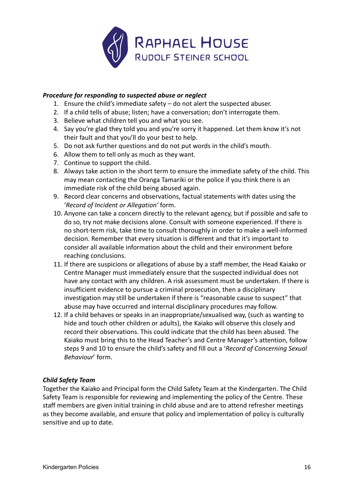

### *Procedure for responding to suspected abuse or neglect*

- 1. Ensure the child's immediate safety do not alert the suspected abuser.
- 2. If a child tells of abuse; listen; have a conversation; don't interrogate them.
- 3. Believe what children tell you and what you see.
- 4. Say you're glad they told you and you're sorry it happened. Let them know it's not their fault and that you'll do your best to help.
- 5. Do not ask further questions and do not put words in the child's mouth.
- 6. Allow them to tell only as much as they want.
- 7. Continue to support the child.
- 8. Always take action in the short term to ensure the immediate safety of the child. This may mean contacting the Oranga Tamariki or the police if you think there is an immediate risk of the child being abused again.
- 9. Record clear concerns and observations, factual statements with dates using the '*Record of Incident or Allegation'* form.
- 10. Anyone can take a concern directly to the relevant agency, but if possible and safe to do so, try not make decisions alone. Consult with someone experienced. If there is no short-term risk, take time to consult thoroughly in order to make a well-informed decision. Remember that every situation is different and that it's important to consider all available information about the child and their environment before reaching conclusions.
- 11. If there are suspicions or allegations of abuse by a staff member, the Head Kaiako or Centre Manager must immediately ensure that the suspected individual does not have any contact with any children. A risk assessment must be undertaken. If there is insufficient evidence to pursue a criminal prosecution, then a disciplinary investigation may still be undertaken if there is "reasonable cause to suspect" that abuse may have occurred and internal disciplinary procedures may follow.
- 12. If a child behaves or speaks in an inappropriate/sexualised way, (such as wanting to hide and touch other children or adults), the Kaiako will observe this closely and record their observations. This could indicate that the child has been abused. The Kaiako must bring this to the Head Teacher's and Centre Manager's attention, follow steps 9 and 10 to ensure the child's safety and fill out a '*Record of Concerning Sexual Behaviour*' form.

# *Child Safety Team*

Together the Kaiako and Principal form the Child Safety Team at the Kindergarten. The Child Safety Team is responsible for reviewing and implementing the policy of the Centre. These staff members are given initial training in child abuse and are to attend refresher meetings as they become available, and ensure that policy and implementation of policy is culturally sensitive and up to date.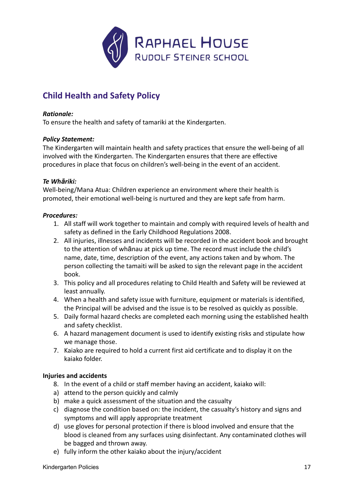

# <span id="page-16-0"></span>**Child Health and Safety Policy**

# *Rationale:*

To ensure the health and safety of tamariki at the Kindergarten.

# *Policy Statement:*

The Kindergarten will maintain health and safety practices that ensure the well-being of all involved with the Kindergarten. The Kindergarten ensures that there are effective procedures in place that focus on children's well-being in the event of an accident.

### *Te Whāriki:*

Well-being/Mana Atua: Children experience an environment where their health is promoted, their emotional well-being is nurtured and they are kept safe from harm.

# *Procedures:*

- 1. All staff will work together to maintain and comply with required levels of health and safety as defined in the Early Childhood Regulations 2008.
- 2. All injuries, illnesses and incidents will be recorded in the accident book and brought to the attention of whānau at pick up time. The record must include the child's name, date, time, description of the event, any actions taken and by whom. The person collecting the tamaiti will be asked to sign the relevant page in the accident book.
- 3. This policy and all procedures relating to Child Health and Safety will be reviewed at least annually.
- 4. When a health and safety issue with furniture, equipment or materials is identified, the Principal will be advised and the issue is to be resolved as quickly as possible.
- 5. Daily formal hazard checks are completed each morning using the established health and safety checklist.
- 6. A hazard management document is used to identify existing risks and stipulate how we manage those.
- 7. Kaiako are required to hold a current first aid certificate and to display it on the kaiako folder.

### **Injuries and accidents**

- 8. In the event of a child or staff member having an accident, kaiako will:
- a) attend to the person quickly and calmly
- b) make a quick assessment of the situation and the casualty
- c) diagnose the condition based on: the incident, the casualty's history and signs and symptoms and will apply appropriate treatment
- d) use gloves for personal protection if there is blood involved and ensure that the blood is cleaned from any surfaces using disinfectant. Any contaminated clothes will be bagged and thrown away.
- e) fully inform the other kaiako about the injury/accident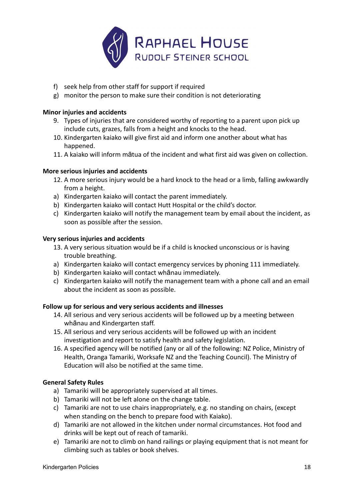

- f) seek help from other staff for support if required
- g) monitor the person to make sure their condition is not deteriorating

### **Minor injuries and accidents**

- 9. Types of injuries that are considered worthy of reporting to a parent upon pick up include cuts, grazes, falls from a height and knocks to the head.
- 10. Kindergarten kaiako will give first aid and inform one another about what has happened.
- 11. A kaiako will inform mātua of the incident and what first aid was given on collection.

### **More serious injuries and accidents**

- 12. A more serious injury would be a hard knock to the head or a limb, falling awkwardly from a height.
- a) Kindergarten kaiako will contact the parent immediately.
- b) Kindergarten kaiako will contact Hutt Hospital or the child's doctor.
- c) Kindergarten kaiako will notify the management team by email about the incident, as soon as possible after the session.

#### **Very serious injuries and accidents**

- 13. A very serious situation would be if a child is knocked unconscious or is having trouble breathing.
- a) Kindergarten kaiako will contact emergency services by phoning 111 immediately.
- b) Kindergarten kaiako will contact whānau immediately.
- c) Kindergarten kaiako will notify the management team with a phone call and an email about the incident as soon as possible.

### **Follow up for serious and very serious accidents and illnesses**

- 14. All serious and very serious accidents will be followed up by a meeting between whānau and Kindergarten staff.
- 15. All serious and very serious accidents will be followed up with an incident investigation and report to satisfy health and safety legislation.
- 16. A specified agency will be notified (any or all of the following: NZ Police, Ministry of Health, Oranga Tamariki, Worksafe NZ and the Teaching Council). The Ministry of Education will also be notified at the same time.

### **General Safety Rules**

- a) Tamariki will be appropriately supervised at all times.
- b) Tamariki will not be left alone on the change table.
- c) Tamariki are not to use chairs inappropriately, e.g. no standing on chairs, (except when standing on the bench to prepare food with Kaiako).
- d) Tamariki are not allowed in the kitchen under normal circumstances. Hot food and drinks will be kept out of reach of tamariki.
- e) Tamariki are not to climb on hand railings or playing equipment that is not meant for climbing such as tables or book shelves.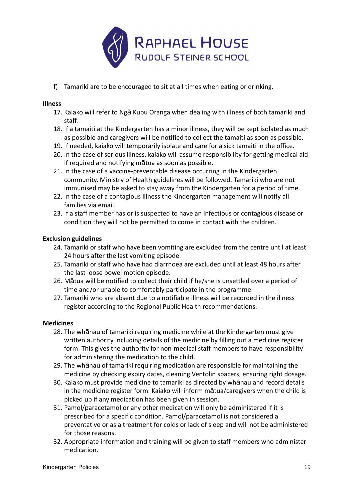

f) Tamariki are to be encouraged to sit at all times when eating or drinking.

# **Illness**

- 17. Kaiako will refer to Ngā Kupu Oranga when dealing with illness of both tamariki and staff.
- 18. If a tamaiti at the Kindergarten has a minor illness, they will be kept isolated as much as possible and caregivers will be notified to collect the tamaiti as soon as possible.
- 19. If needed, kaiako will temporarily isolate and care for a sick tamaiti in the office.
- 20. In the case of serious illness, kaiako will assume responsibility for getting medical aid if required and notifying mātua as soon as possible.
- 21. In the case of a vaccine-preventable disease occurring in the Kindergarten community, Ministry of Health guidelines will be followed. Tamariki who are not immunised may be asked to stay away from the Kindergarten for a period of time.
- 22. In the case of a contagious illness the Kindergarten management will notify all families via email.
- 23. If a staff member has or is suspected to have an infectious or contagious disease or condition they will not be permitted to come in contact with the children.

### **Exclusion guidelines**

- 24. Tamariki or staff who have been vomiting are excluded from the centre until at least 24 hours after the last vomiting episode.
- 25. Tamariki or staff who have had diarrhoea are excluded until at least 48 hours after the last loose bowel motion episode.
- 26. Mātua will be notified to collect their child if he/she is unsettled over a period of time and/or unable to comfortably participate in the programme.
- 27. Tamariki who are absent due to a notifiable illness will be recorded in the illness register according to the Regional Public Health recommendations.

### **Medicines**

- 28. The whānau of tamariki requiring medicine while at the Kindergarten must give written authority including details of the medicine by filling out a medicine register form. This gives the authority for non-medical staff members to have responsibility for administering the medication to the child.
- 29. The whānau of tamariki requiring medication are responsible for maintaining the medicine by checking expiry dates, cleaning Ventolin spacers, ensuring right dosage.
- 30. Kaiako must provide medicine to tamariki as directed by whānau and record details in the medicine register form. Kaiako will inform mātua/caregivers when the child is picked up if any medication has been given in session.
- 31. Pamol/paracetamol or any other medication will only be administered if it is prescribed for a specific condition. Pamol/paracetamol is not considered a preventative or as a treatment for colds or lack of sleep and will not be administered for those reasons.
- 32. Appropriate information and training will be given to staff members who administer medication.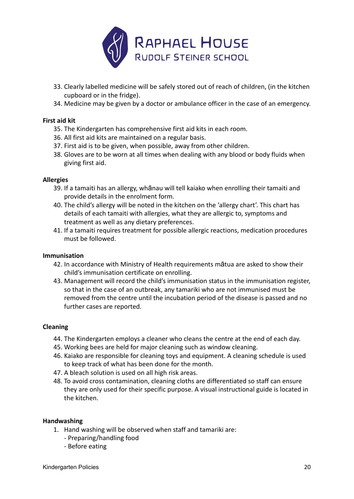

- 33. Clearly labelled medicine will be safely stored out of reach of children, (in the kitchen cupboard or in the fridge).
- 34. Medicine may be given by a doctor or ambulance officer in the case of an emergency.

# **First aid kit**

- 35. The Kindergarten has comprehensive first aid kits in each room.
- 36. All first aid kits are maintained on a regular basis.
- 37. First aid is to be given, when possible, away from other children.
- 38. Gloves are to be worn at all times when dealing with any blood or body fluids when giving first aid.

### **Allergies**

- 39. If a tamaiti has an allergy, whānau will tell kaiako when enrolling their tamaiti and provide details in the enrolment form.
- 40. The child's allergy will be noted in the kitchen on the 'allergy chart'. This chart has details of each tamaiti with allergies, what they are allergic to, symptoms and treatment as well as any dietary preferences.
- 41. If a tamaiti requires treatment for possible allergic reactions, medication procedures must be followed.

### **Immunisation**

- 42. In accordance with Ministry of Health requirements mātua are asked to show their child's immunisation certificate on enrolling.
- 43. Management will record the child's immunisation status in the immunisation register, so that in the case of an outbreak, any tamariki who are not immunised must be removed from the centre until the incubation period of the disease is passed and no further cases are reported.

### **Cleaning**

- 44. The Kindergarten employs a cleaner who cleans the centre at the end of each day.
- 45. Working bees are held for major cleaning such as window cleaning.
- 46. Kaiako are responsible for cleaning toys and equipment. A cleaning schedule is used to keep track of what has been done for the month.
- 47. A bleach solution is used on all high risk areas.
- 48. To avoid cross contamination, cleaning cloths are differentiated so staff can ensure they are only used for their specific purpose. A visual instructional guide is located in the kitchen.

#### **Handwashing**

- 1. Hand washing will be observed when staff and tamariki are:
	- Preparing/handling food
	- Before eating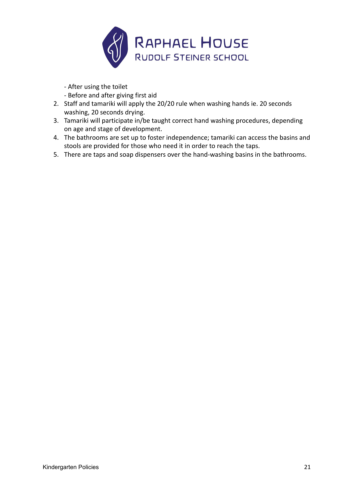

- After using the toilet

- Before and after giving first aid

- 2. Staff and tamariki will apply the 20/20 rule when washing hands ie. 20 seconds washing, 20 seconds drying.
- 3. Tamariki will participate in/be taught correct hand washing procedures, depending on age and stage of development.
- 4. The bathrooms are set up to foster independence; tamariki can access the basins and stools are provided for those who need it in order to reach the taps.
- 5. There are taps and soap dispensers over the hand-washing basins in the bathrooms.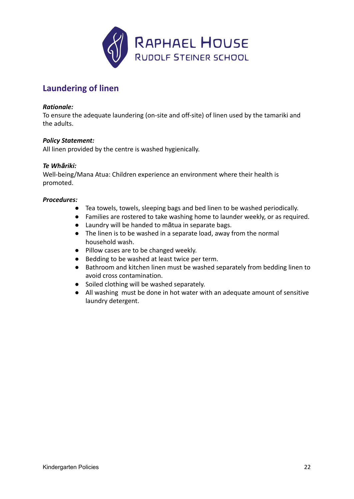

# **Laundering of linen**

### *Rationale:*

To ensure the adequate laundering (on-site and off-site) of linen used by the tamariki and the adults.

#### *Policy Statement:*

All linen provided by the centre is washed hygienically.

#### *Te Whāriki:*

Well-being/Mana Atua: Children experience an environment where their health is promoted.

- Tea towels, towels, sleeping bags and bed linen to be washed periodically.
- Families are rostered to take washing home to launder weekly, or as required.
- Laundry will be handed to mātua in separate bags.
- The linen is to be washed in a separate load, away from the normal household wash.
- Pillow cases are to be changed weekly.
- Bedding to be washed at least twice per term.
- Bathroom and kitchen linen must be washed separately from bedding linen to avoid cross contamination.
- Soiled clothing will be washed separately.
- All washing must be done in hot water with an adequate amount of sensitive laundry detergent.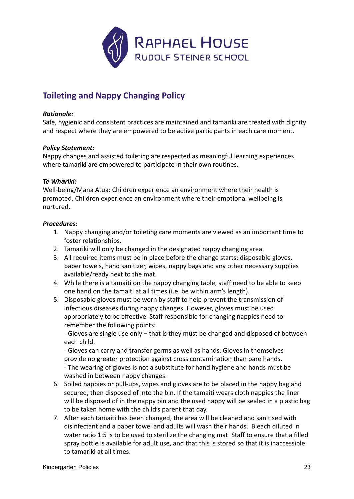

# <span id="page-22-0"></span>**Toileting and Nappy Changing Policy**

### *Rationale:*

Safe, hygienic and consistent practices are maintained and tamariki are treated with dignity and respect where they are empowered to be active participants in each care moment.

### *Policy Statement:*

Nappy changes and assisted toileting are respected as meaningful learning experiences where tamariki are empowered to participate in their own routines.

# *Te Whāriki:*

Well-being/Mana Atua: Children experience an environment where their health is promoted. Children experience an environment where their emotional wellbeing is nurtured.

# *Procedures:*

- 1. Nappy changing and/or toileting care moments are viewed as an important time to foster relationships.
- 2. Tamariki will only be changed in the designated nappy changing area.
- 3. All required items must be in place before the change starts: disposable gloves, paper towels, hand sanitizer, wipes, nappy bags and any other necessary supplies available/ready next to the mat.
- 4. While there is a tamaiti on the nappy changing table, staff need to be able to keep one hand on the tamaiti at all times (i.e. be within arm's length).
- 5. Disposable gloves must be worn by staff to help prevent the transmission of infectious diseases during nappy changes. However, gloves must be used appropriately to be effective. Staff responsible for changing nappies need to remember the following points:

- Gloves are single use only – that is they must be changed and disposed of between each child.

- Gloves can carry and transfer germs as well as hands. Gloves in themselves provide no greater protection against cross contamination than bare hands.

- The wearing of gloves is not a substitute for hand hygiene and hands must be washed in between nappy changes.

- 6. Soiled nappies or pull-ups, wipes and gloves are to be placed in the nappy bag and secured, then disposed of into the bin. If the tamaiti wears cloth nappies the liner will be disposed of in the nappy bin and the used nappy will be sealed in a plastic bag to be taken home with the child's parent that day.
- 7. After each tamaiti has been changed, the area will be cleaned and sanitised with disinfectant and a paper towel and adults will wash their hands. Bleach diluted in water ratio 1:5 is to be used to sterilize the changing mat. Staff to ensure that a filled spray bottle is available for adult use, and that this is stored so that it is inaccessible to tamariki at all times.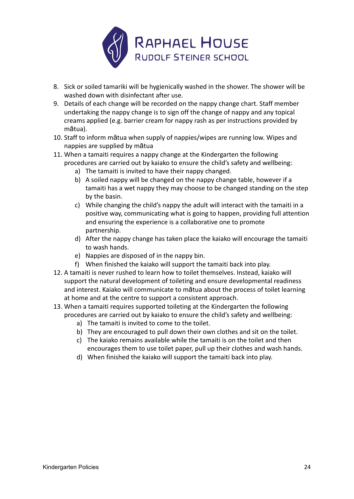

- 8. Sick or soiled tamariki will be hygienically washed in the shower. The shower will be washed down with disinfectant after use.
- 9. Details of each change will be recorded on the nappy change chart. Staff member undertaking the nappy change is to sign off the change of nappy and any topical creams applied (e.g. barrier cream for nappy rash as per instructions provided by mātua).
- 10. Staff to inform mātua when supply of nappies/wipes are running low. Wipes and nappies are supplied by mātua
- 11. When a tamaiti requires a nappy change at the Kindergarten the following procedures are carried out by kaiako to ensure the child's safety and wellbeing:
	- a) The tamaiti is invited to have their nappy changed.
	- b) A soiled nappy will be changed on the nappy change table, however if a tamaiti has a wet nappy they may choose to be changed standing on the step by the basin.
	- c) While changing the child's nappy the adult will interact with the tamaiti in a positive way, communicating what is going to happen, providing full attention and ensuring the experience is a collaborative one to promote partnership.
	- d) After the nappy change has taken place the kaiako will encourage the tamaiti to wash hands.
	- e) Nappies are disposed of in the nappy bin.
	- f) When finished the kaiako will support the tamaiti back into play.
- 12. A tamaiti is never rushed to learn how to toilet themselves. Instead, kaiako will support the natural development of toileting and ensure developmental readiness and interest. Kaiako will communicate to mātua about the process of toilet learning at home and at the centre to support a consistent approach.
- 13. When a tamaiti requires supported toileting at the Kindergarten the following procedures are carried out by kaiako to ensure the child's safety and wellbeing:
	- a) The tamaiti is invited to come to the toilet.
	- b) They are encouraged to pull down their own clothes and sit on the toilet.
	- c) The kaiako remains available while the tamaiti is on the toilet and then encourages them to use toilet paper, pull up their clothes and wash hands.
	- d) When finished the kaiako will support the tamaiti back into play.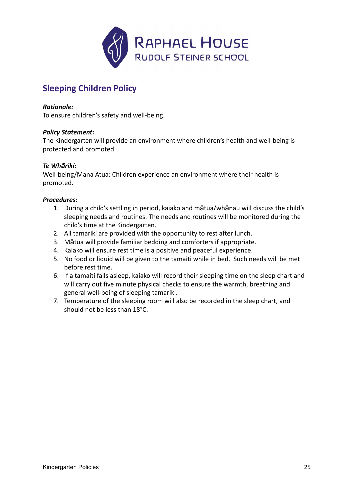

# **Sleeping Children Policy**

### *Rationale:*

To ensure children's safety and well-being.

# *Policy Statement:*

The Kindergarten will provide an environment where children's health and well-being is protected and promoted.

# *Te Whāriki:*

Well-being/Mana Atua: Children experience an environment where their health is promoted.

- 1. During a child's settling in period, kaiako and mātua/whānau will discuss the child's sleeping needs and routines. The needs and routines will be monitored during the child's time at the Kindergarten.
- 2. All tamariki are provided with the opportunity to rest after lunch.
- 3. Mātua will provide familiar bedding and comforters if appropriate.
- 4. Kaiako will ensure rest time is a positive and peaceful experience.
- 5. No food or liquid will be given to the tamaiti while in bed. Such needs will be met before rest time.
- 6. If a tamaiti falls asleep, kaiako will record their sleeping time on the sleep chart and will carry out five minute physical checks to ensure the warmth, breathing and general well-being of sleeping tamariki.
- 7. Temperature of the sleeping room will also be recorded in the sleep chart, and should not be less than 18°C.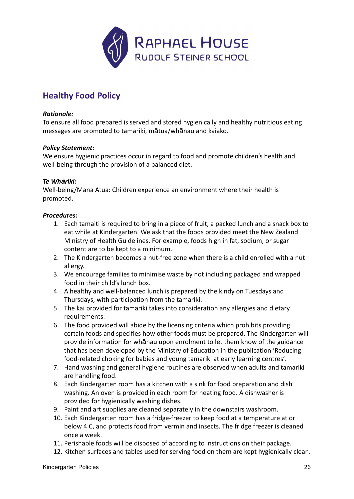

# **Healthy Food Policy**

# *Rationale:*

To ensure all food prepared is served and stored hygienically and healthy nutritious eating messages are promoted to tamariki, mātua/whānau and kaiako.

### *Policy Statement:*

We ensure hygienic practices occur in regard to food and promote children's health and well-being through the provision of a balanced diet.

### *Te Whāriki:*

Well-being/Mana Atua: Children experience an environment where their health is promoted.

- 1. Each tamaiti is required to bring in a piece of fruit, a packed lunch and a snack box to eat while at Kindergarten. We ask that the foods provided meet the New Zealand Ministry of Health Guidelines. For example, foods high in fat, sodium, or sugar content are to be kept to a minimum.
- 2. The Kindergarten becomes a nut-free zone when there is a child enrolled with a nut allergy.
- 3. We encourage families to minimise waste by not including packaged and wrapped food in their child's lunch box.
- 4. A healthy and well-balanced lunch is prepared by the kindy on Tuesdays and Thursdays, with participation from the tamariki.
- 5. The kai provided for tamariki takes into consideration any allergies and dietary requirements.
- 6. The food provided will abide by the licensing criteria which prohibits providing certain foods and specifies how other foods must be prepared. The Kindergarten will provide information for whānau upon enrolment to let them know of the guidance that has been developed by the Ministry of Education in the publication 'Reducing food-related choking for babies and young tamariki at early learning centres'.
- 7. Hand washing and general hygiene routines are observed when adults and tamariki are handling food.
- 8. Each Kindergarten room has a kitchen with a sink for food preparation and dish washing. An oven is provided in each room for heating food. A dishwasher is provided for hygienically washing dishes.
- 9. Paint and art supplies are cleaned separately in the downstairs washroom.
- 10. Each Kindergarten room has a fridge-freezer to keep food at a temperature at or below 4.C, and protects food from vermin and insects. The fridge freezer is cleaned once a week.
- 11. Perishable foods will be disposed of according to instructions on their package.
- 12. Kitchen surfaces and tables used for serving food on them are kept hygienically clean.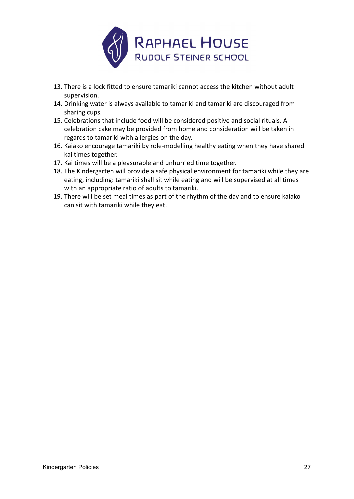

- 13. There is a lock fitted to ensure tamariki cannot access the kitchen without adult supervision.
- 14. Drinking water is always available to tamariki and tamariki are discouraged from sharing cups.
- 15. Celebrations that include food will be considered positive and social rituals. A celebration cake may be provided from home and consideration will be taken in regards to tamariki with allergies on the day.
- 16. Kaiako encourage tamariki by role-modelling healthy eating when they have shared kai times together.
- 17. Kai times will be a pleasurable and unhurried time together.
- 18. The Kindergarten will provide a safe physical environment for tamariki while they are eating, including: tamariki shall sit while eating and will be supervised at all times with an appropriate ratio of adults to tamariki.
- 19. There will be set meal times as part of the rhythm of the day and to ensure kaiako can sit with tamariki while they eat.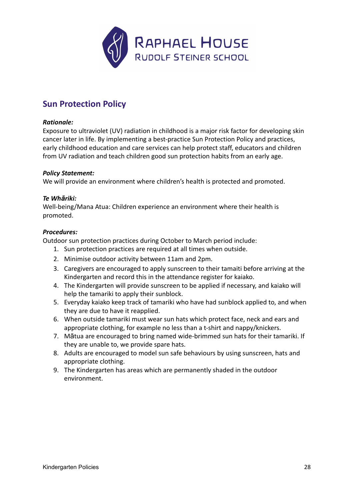

# <span id="page-27-0"></span>**Sun Protection Policy**

### *Rationale:*

Exposure to ultraviolet (UV) radiation in childhood is a major risk factor for developing skin cancer later in life. By implementing a best-practice Sun Protection Policy and practices, early childhood education and care services can help protect staff, educators and children from UV radiation and teach children good sun protection habits from an early age.

### *Policy Statement:*

We will provide an environment where children's health is protected and promoted.

# *Te Whāriki:*

Well-being/Mana Atua: Children experience an environment where their health is promoted.

# *Procedures:*

Outdoor sun protection practices during October to March period include:

- 1. Sun protection practices are required at all times when outside.
- 2. Minimise outdoor activity between 11am and 2pm.
- 3. Caregivers are encouraged to apply sunscreen to their tamaiti before arriving at the Kindergarten and record this in the attendance register for kaiako.
- 4. The Kindergarten will provide sunscreen to be applied if necessary, and kaiako will help the tamariki to apply their sunblock.
- 5. Everyday kaiako keep track of tamariki who have had sunblock applied to, and when they are due to have it reapplied.
- 6. When outside tamariki must wear sun hats which protect face, neck and ears and appropriate clothing, for example no less than a t-shirt and nappy/knickers.
- 7. Mātua are encouraged to bring named wide-brimmed sun hats for their tamariki. If they are unable to, we provide spare hats.
- 8. Adults are encouraged to model sun safe behaviours by using sunscreen, hats and appropriate clothing.
- 9. The Kindergarten has areas which are permanently shaded in the outdoor environment.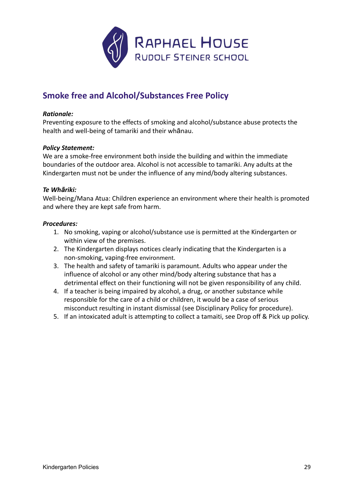

# <span id="page-28-0"></span>**Smoke free and Alcohol/Substances Free Policy**

### *Rationale:*

Preventing exposure to the effects of smoking and alcohol/substance abuse protects the health and well-being of tamariki and their whānau.

### *Policy Statement:*

We are a smoke-free environment both inside the building and within the immediate boundaries of the outdoor area. Alcohol is not accessible to tamariki. Any adults at the Kindergarten must not be under the influence of any mind/body altering substances.

#### *Te Whāriki:*

Well-being/Mana Atua: Children experience an environment where their health is promoted and where they are kept safe from harm.

- 1. No smoking, vaping or alcohol/substance use is permitted at the Kindergarten or within view of the premises.
- 2. The Kindergarten displays notices clearly indicating that the Kindergarten is a non-smoking, vaping-free environment.
- 3. The health and safety of tamariki is paramount. Adults who appear under the influence of alcohol or any other mind/body altering substance that has a detrimental effect on their functioning will not be given responsibility of any child.
- 4. If a teacher is being impaired by alcohol, a drug, or another substance while responsible for the care of a child or children, it would be a case of serious misconduct resulting in instant dismissal (see Disciplinary Policy for procedure).
- 5. If an intoxicated adult is attempting to collect a tamaiti, see Drop off & Pick up policy.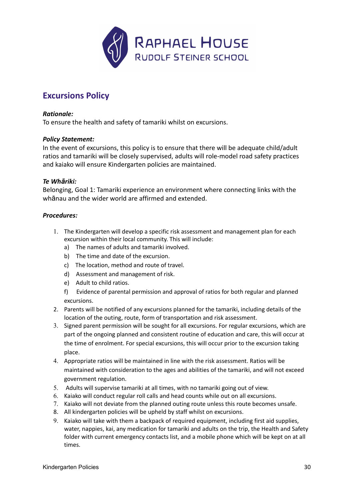

# <span id="page-29-0"></span>**Excursions Policy**

### *Rationale:*

To ensure the health and safety of tamariki whilst on excursions.

### *Policy Statement:*

In the event of excursions, this policy is to ensure that there will be adequate child/adult ratios and tamariki will be closely supervised, adults will role-model road safety practices and kaiako will ensure Kindergarten policies are maintained.

### *Te Whāriki:*

Belonging, Goal 1: Tamariki experience an environment where connecting links with the whānau and the wider world are affirmed and extended.

- 1. The Kindergarten will develop a specific risk assessment and management plan for each excursion within their local community. This will include:
	- a) The names of adults and tamariki involved.
	- b) The time and date of the excursion.
	- c) The location, method and route of travel.
	- d) Assessment and management of risk.
	- e) Adult to child ratios.
	- f) Evidence of parental permission and approval of ratios for both regular and planned excursions.
- 2. Parents will be notified of any excursions planned for the tamariki, including details of the location of the outing, route, form of transportation and risk assessment.
- 3. Signed parent permission will be sought for all excursions. For regular excursions, which are part of the ongoing planned and consistent routine of education and care, this will occur at the time of enrolment. For special excursions, this will occur prior to the excursion taking place.
- 4. Appropriate ratios will be maintained in line with the risk assessment. Ratios will be maintained with consideration to the ages and abilities of the tamariki, and will not exceed government regulation.
- 5. Adults will supervise tamariki at all times, with no tamariki going out of view.
- 6. Kaiako will conduct regular roll calls and head counts while out on all excursions.
- 7. Kaiako will not deviate from the planned outing route unless this route becomes unsafe.
- 8. All kindergarten policies will be upheld by staff whilst on excursions.
- 9. Kaiako will take with them a backpack of required equipment, including first aid supplies, water, nappies, kai, any medication for tamariki and adults on the trip, the Health and Safety folder with current emergency contacts list, and a mobile phone which will be kept on at all times.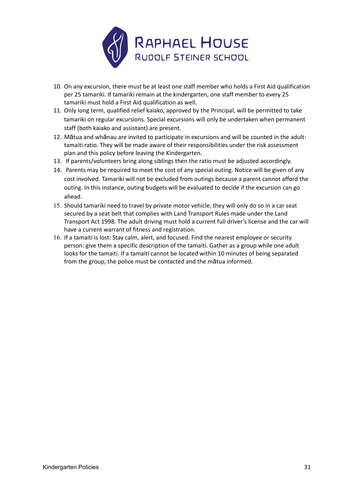

- 10. On any excursion, there must be at least one staff member who holds a First Aid qualification per 25 tamariki. If tamariki remain at the kindergarten, one staff member to every 25 tamariki must hold a First Aid qualification as well.
- 11. Only long term, qualified relief kaiako, approved by the Principal, will be permitted to take tamariki on regular excursions. Special excursions will only be undertaken when permanent staff (both kaiako and assistant) are present.
- 12. Mātua and whānau are invited to participate in excursions and will be counted in the adult: tamaiti ratio. They will be made aware of their responsibilities under the risk assessment plan and this policy before leaving the Kindergarten.
- 13. If parents/volunteers bring along siblings then the ratio must be adjusted accordingly.
- 14. Parents may be required to meet the cost of any special outing. Notice will be given of any cost involved. Tamariki will not be excluded from outings because a parent cannot afford the outing. In this instance, outing budgets will be evaluated to decide if the excursion can go ahead.
- 15. Should tamariki need to travel by private motor vehicle, they will only do so in a car seat secured by a seat belt that complies with Land Transport Rules made under the Land Transport Act 1998. The adult driving must hold a current full driver's license and the car will have a current warrant of fitness and registration.
- 16. If a tamaiti is lost: Stay calm, alert, and focused. Find the nearest employee or security person: give them a specific description of the tamaiti. Gather as a group while one adult looks for the tamaiti. If a tamaiti cannot be located within 10 minutes of being separated from the group, the police must be contacted and the mātua informed.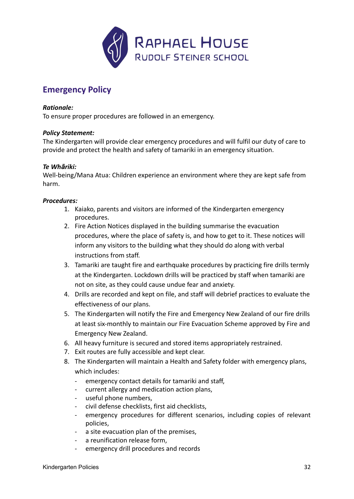

# <span id="page-31-0"></span>**Emergency Policy**

# *Rationale:*

To ensure proper procedures are followed in an emergency.

# *Policy Statement:*

The Kindergarten will provide clear emergency procedures and will fulfil our duty of care to provide and protect the health and safety of tamariki in an emergency situation.

### *Te Whāriki:*

Well-being/Mana Atua: Children experience an environment where they are kept safe from harm.

- 1. Kaiako, parents and visitors are informed of the Kindergarten emergency procedures.
- 2. Fire Action Notices displayed in the building summarise the evacuation procedures, where the place of safety is, and how to get to it. These notices will inform any visitors to the building what they should do along with verbal instructions from staff.
- 3. Tamariki are taught fire and earthquake procedures by practicing fire drills termly at the Kindergarten. Lockdown drills will be practiced by staff when tamariki are not on site, as they could cause undue fear and anxiety.
- 4. Drills are recorded and kept on file, and staff will debrief practices to evaluate the effectiveness of our plans.
- 5. The Kindergarten will notify the Fire and Emergency New Zealand of our fire drills at least six-monthly to maintain our Fire Evacuation Scheme approved by Fire and Emergency New Zealand.
- 6. All heavy furniture is secured and stored items appropriately restrained.
- 7. Exit routes are fully accessible and kept clear.
- 8. The Kindergarten will maintain a Health and Safety folder with emergency plans, which includes:
	- emergency contact details for tamariki and staff,
	- current allergy and medication action plans,
	- useful phone numbers,
	- civil defense checklists, first aid checklists,
	- emergency procedures for different scenarios, including copies of relevant policies,
	- a site evacuation plan of the premises,
	- a reunification release form,
	- emergency drill procedures and records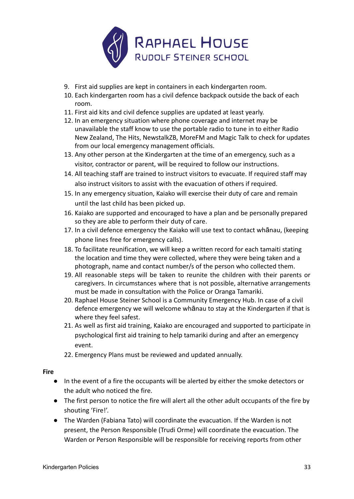

- 9. First aid supplies are kept in containers in each kindergarten room.
- 10. Each kindergarten room has a civil defence backpack outside the back of each room.
- 11. First aid kits and civil defence supplies are updated at least yearly.
- 12. In an emergency situation where phone coverage and internet may be unavailable the staff know to use the portable radio to tune in to either Radio New Zealand, The Hits, NewstalkZB, MoreFM and Magic Talk to check for updates from our local emergency management officials.
- 13. Any other person at the Kindergarten at the time of an emergency, such as a visitor, contractor or parent, will be required to follow our instructions.
- 14. All teaching staff are trained to instruct visitors to evacuate. If required staff may also instruct visitors to assist with the evacuation of others if required.
- 15. In any emergency situation, Kaiako will exercise their duty of care and remain until the last child has been picked up.
- 16. Kaiako are supported and encouraged to have a plan and be personally prepared so they are able to perform their duty of care.
- 17. In a civil defence emergency the Kaiako will use text to contact whānau, (keeping phone lines free for emergency calls).
- 18. To facilitate reunification, we will keep a written record for each tamaiti stating the location and time they were collected, where they were being taken and a photograph, name and contact number/s of the person who collected them.
- 19. All reasonable steps will be taken to reunite the children with their parents or caregivers. In circumstances where that is not possible, alternative arrangements must be made in consultation with the Police or Oranga Tamariki.
- 20. Raphael House Steiner School is a Community Emergency Hub. In case of a civil defence emergency we will welcome whānau to stay at the Kindergarten if that is where they feel safest.
- 21. As well as first aid training, Kaiako are encouraged and supported to participate in psychological first aid training to help tamariki during and after an emergency event.
- 22. Emergency Plans must be reviewed and updated annually.

### **Fire**

- **●** In the event of a fire the occupants will be alerted by either the smoke detectors or the adult who noticed the fire.
- The first person to notice the fire will alert all the other adult occupants of the fire by shouting 'Fire!'.
- The Warden (Fabiana Tato) will coordinate the evacuation. If the Warden is not present, the Person Responsible (Trudi Orme) will coordinate the evacuation. The Warden or Person Responsible will be responsible for receiving reports from other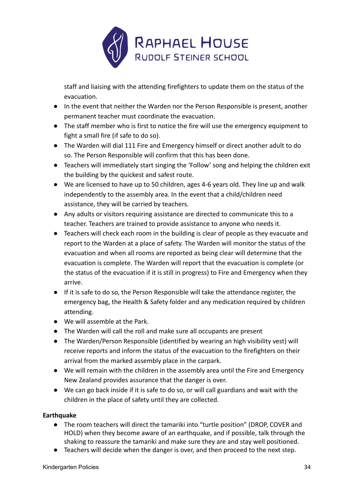

staff and liaising with the attending firefighters to update them on the status of the evacuation.

- In the event that neither the Warden nor the Person Responsible is present, another permanent teacher must coordinate the evacuation.
- The staff member who is first to notice the fire will use the emergency equipment to fight a small fire (if safe to do so).
- The Warden will dial 111 Fire and Emergency himself or direct another adult to do so. The Person Responsible will confirm that this has been done.
- Teachers will immediately start singing the 'Follow' song and helping the children exit the building by the quickest and safest route.
- We are licensed to have up to 50 children, ages 4-6 years old. They line up and walk independently to the assembly area. In the event that a child/children need assistance, they will be carried by teachers.
- Any adults or visitors requiring assistance are directed to communicate this to a teacher. Teachers are trained to provide assistance to anyone who needs it.
- Teachers will check each room in the building is clear of people as they evacuate and report to the Warden at a place of safety. The Warden will monitor the status of the evacuation and when all rooms are reported as being clear will determine that the evacuation is complete. The Warden will report that the evacuation is complete (or the status of the evacuation if it is still in progress) to Fire and Emergency when they arrive.
- If it is safe to do so, the Person Responsible will take the attendance register, the emergency bag, the Health & Safety folder and any medication required by children attending.
- We will assemble at the Park.
- The Warden will call the roll and make sure all occupants are present
- The Warden/Person Responsible (identified by wearing an high visibility vest) will receive reports and inform the status of the evacuation to the firefighters on their arrival from the marked assembly place in the carpark.
- We will remain with the children in the assembly area until the Fire and Emergency New Zealand provides assurance that the danger is over.
- We can go back inside if it is safe to do so, or will call guardians and wait with the children in the place of safety until they are collected.

# **Earthquake**

- The room teachers will direct the tamariki into "turtle position" (DROP, COVER and HOLD) when they become aware of an earthquake, and if possible, talk through the shaking to reassure the tamariki and make sure they are and stay well positioned.
- Teachers will decide when the danger is over, and then proceed to the next step.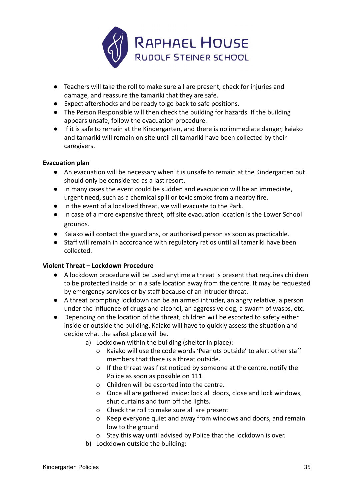

- Teachers will take the roll to make sure all are present, check for injuries and damage, and reassure the tamariki that they are safe.
- Expect aftershocks and be ready to go back to safe positions.
- The Person Responsible will then check the building for hazards. If the building appears unsafe, follow the evacuation procedure.
- If it is safe to remain at the Kindergarten, and there is no immediate danger, kaiako and tamariki will remain on site until all tamariki have been collected by their caregivers.

# **Evacuation plan**

- An evacuation will be necessary when it is unsafe to remain at the Kindergarten but should only be considered as a last resort.
- In many cases the event could be sudden and evacuation will be an immediate, urgent need, such as a chemical spill or toxic smoke from a nearby fire.
- In the event of a localized threat, we will evacuate to the Park.
- In case of a more expansive threat, off site evacuation location is the Lower School grounds.
- Kaiako will contact the guardians, or authorised person as soon as practicable.
- Staff will remain in accordance with regulatory ratios until all tamariki have been collected.

# **Violent Threat – Lockdown Procedure**

- A lockdown procedure will be used anytime a threat is present that requires children to be protected inside or in a safe location away from the centre. It may be requested by emergency services or by staff because of an intruder threat.
- A threat prompting lockdown can be an armed intruder, an angry relative, a person under the influence of drugs and alcohol, an aggressive dog, a swarm of wasps, etc.
- Depending on the location of the threat, children will be escorted to safety either inside or outside the building. Kaiako will have to quickly assess the situation and decide what the safest place will be.
	- a) Lockdown within the building (shelter in place):
		- o Kaiako will use the code words 'Peanuts outside' to alert other staff members that there is a threat outside.
		- o If the threat was first noticed by someone at the centre, notify the Police as soon as possible on 111.
		- o Children will be escorted into the centre.
		- o Once all are gathered inside: lock all doors, close and lock windows, shut curtains and turn off the lights.
		- o Check the roll to make sure all are present
		- o Keep everyone quiet and away from windows and doors, and remain low to the ground
		- o Stay this way until advised by Police that the lockdown is over.
	- b) Lockdown outside the building: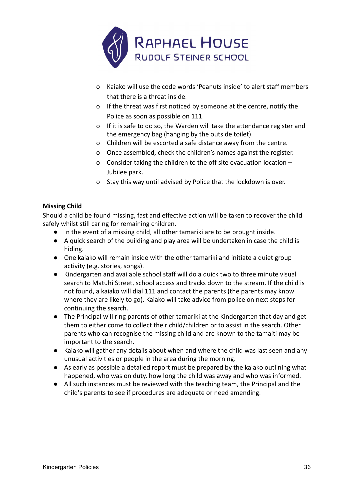

- o Kaiako will use the code words 'Peanuts inside' to alert staff members that there is a threat inside.
- o If the threat was first noticed by someone at the centre, notify the Police as soon as possible on 111.
- o If it is safe to do so, the Warden will take the attendance register and the emergency bag (hanging by the outside toilet).
- o Children will be escorted a safe distance away from the centre.
- o Once assembled, check the children's names against the register.
- o Consider taking the children to the off site evacuation location Jubilee park.
- o Stay this way until advised by Police that the lockdown is over.

# **Missing Child**

Should a child be found missing, fast and effective action will be taken to recover the child safely whilst still caring for remaining children.

- In the event of a missing child, all other tamariki are to be brought inside.
- A quick search of the building and play area will be undertaken in case the child is hiding.
- One kaiako will remain inside with the other tamariki and initiate a quiet group activity (e.g. stories, songs).
- Kindergarten and available school staff will do a quick two to three minute visual search to Matuhi Street, school access and tracks down to the stream. If the child is not found, a kaiako will dial 111 and contact the parents (the parents may know where they are likely to go). Kaiako will take advice from police on next steps for continuing the search.
- The Principal will ring parents of other tamariki at the Kindergarten that day and get them to either come to collect their child/children or to assist in the search. Other parents who can recognise the missing child and are known to the tamaiti may be important to the search.
- Kaiako will gather any details about when and where the child was last seen and any unusual activities or people in the area during the morning.
- As early as possible a detailed report must be prepared by the kaiako outlining what happened, who was on duty, how long the child was away and who was informed.
- All such instances must be reviewed with the teaching team, the Principal and the child's parents to see if procedures are adequate or need amending.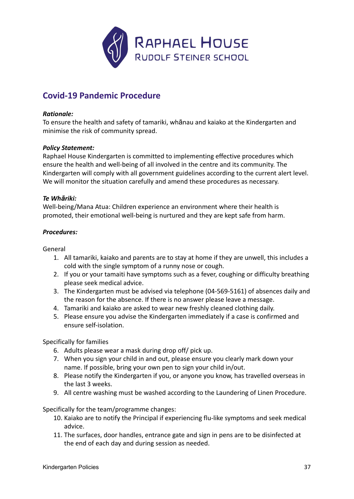

# <span id="page-36-0"></span>**Covid-19 Pandemic Procedure**

# *Rationale:*

To ensure the health and safety of tamariki, whānau and kaiako at the Kindergarten and minimise the risk of community spread.

### *Policy Statement:*

Raphael House Kindergarten is committed to implementing effective procedures which ensure the health and well-being of all involved in the centre and its community. The Kindergarten will comply with all government guidelines according to the current alert level. We will monitor the situation carefully and amend these procedures as necessary.

### *Te Whāriki:*

Well-being/Mana Atua: Children experience an environment where their health is promoted, their emotional well-being is nurtured and they are kept safe from harm.

# *Procedures:*

General

- 1. All tamariki, kaiako and parents are to stay at home if they are unwell, this includes a cold with the single symptom of a runny nose or cough.
- 2. If you or your tamaiti have symptoms such as a fever, coughing or difficulty breathing please seek medical advice.
- 3. The Kindergarten must be advised via telephone ([04-](https://www.google.com/search?client=safari&channel=mac_bm&sxsrf=ALeKk01ySquefZcOMFfoDqkliZKpGnVmaw%3A1584771057598&source=hp&ei=8a91Xv67IebFz7sP6-K8kA0&q=steiner+cottage+lower+hutt&oq=Steiner+Cottage&gs_l=psy-ab.3.0.35i39l3j0i22i30.175.1947..2737...1.0..0.232.2742.0j13j2......0....1..gws-wiz.......0i131j0j0i131i273j0i273j0i22i10i30.5V63GT_IEeU)569-5161) of absences daily and the reason for the absence. If there is no answer please leave a message.
- 4. Tamariki and kaiako are asked to wear new freshly cleaned clothing daily.
- 5. Please ensure you advise the Kindergarten immediately if a case is confirmed and ensure self-isolation.

Specifically for families

- 6. Adults please wear a mask during drop off/ pick up.
- 7. When you sign your child in and out, please ensure you clearly mark down your name. If possible, bring your own pen to sign your child in/out.
- 8. Please notify the Kindergarten if you, or anyone you know, has travelled overseas in the last 3 weeks.
- 9. All centre washing must be washed according to the Laundering of Linen Procedure.

Specifically for the team/programme changes:

- 10. Kaiako are to notify the Principal if experiencing flu-like symptoms and seek medical advice.
- 11. The surfaces, door handles, entrance gate and sign in pens are to be disinfected at the end of each day and during session as needed.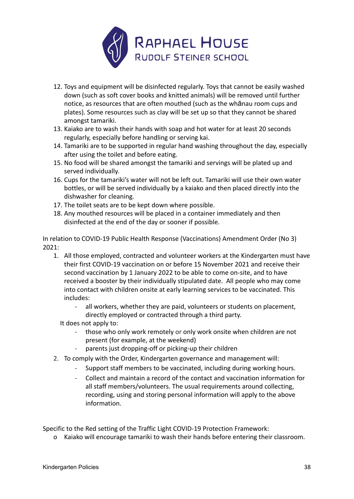

- 12. Toys and equipment will be disinfected regularly. Toys that cannot be easily washed down (such as soft cover books and knitted animals) will be removed until further notice, as resources that are often mouthed (such as the whānau room cups and plates). Some resources such as clay will be set up so that they cannot be shared amongst tamariki.
- 13. Kaiako are to wash their hands with soap and hot water for at least 20 seconds regularly, especially before handling or serving kai.
- 14. Tamariki are to be supported in regular hand washing throughout the day, especially after using the toilet and before eating.
- 15. No food will be shared amongst the tamariki and servings will be plated up and served individually.
- 16. Cups for the tamariki's water will not be left out. Tamariki will use their own water bottles, or will be served individually by a kaiako and then placed directly into the dishwasher for cleaning.
- 17. The toilet seats are to be kept down where possible.
- 18. Any mouthed resources will be placed in a container immediately and then disinfected at the end of the day or sooner if possible.

In relation to COVID-19 Public Health Response (Vaccinations) Amendment Order (No 3) 2021:

- 1. All those employed, contracted and volunteer workers at the Kindergarten must have their first COVID-19 vaccination on or before 15 November 2021 and receive their second vaccination by 1 January 2022 to be able to come on-site, and to have received a booster by their individually stipulated date. All people who may come into contact with children onsite at early learning services to be vaccinated. This includes:
	- all workers, whether they are paid, volunteers or students on placement, directly employed or contracted through a third party.

It does not apply to:

- those who only work remotely or only work onsite when children are not present (for example, at the weekend)
- parents just dropping-off or picking-up their children
- 2. To comply with the Order, Kindergarten governance and management will:
	- Support staff members to be vaccinated, including during working hours.
	- Collect and maintain a record of the contact and vaccination information for all staff members/volunteers. The usual requirements around collecting, recording, using and storing personal information will apply to the above information.

Specific to the Red setting of the Traffic Light COVID-19 Protection Framework:

o Kaiako will encourage tamariki to wash their hands before entering their classroom.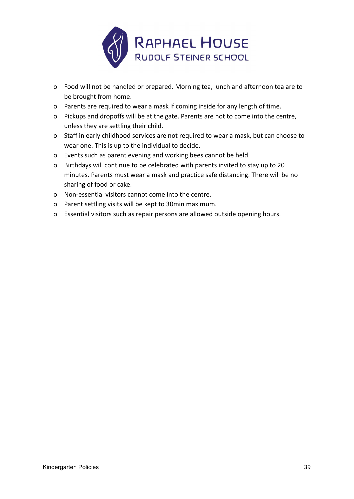

- o Food will not be handled or prepared. Morning tea, lunch and afternoon tea are to be brought from home.
- o Parents are required to wear a mask if coming inside for any length of time.
- o Pickups and dropoffs will be at the gate. Parents are not to come into the centre, unless they are settling their child.
- o Staff in early childhood services are not required to wear a mask, but can choose to wear one. This is up to the individual to decide.
- o Events such as parent evening and working bees cannot be held.
- o Birthdays will continue to be celebrated with parents invited to stay up to 20 minutes. Parents must wear a mask and practice safe distancing. There will be no sharing of food or cake.
- o Non-essential visitors cannot come into the centre.
- o Parent settling visits will be kept to 30min maximum.
- o Essential visitors such as repair persons are allowed outside opening hours.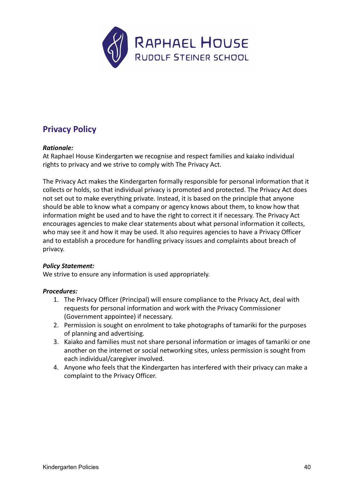

# <span id="page-39-0"></span>**Privacy Policy**

# *Rationale:*

At Raphael House Kindergarten we recognise and respect families and kaiako individual rights to privacy and we strive to comply with The Privacy Act.

The Privacy Act makes the Kindergarten formally responsible for personal information that it collects or holds, so that individual privacy is promoted and protected. The Privacy Act does not set out to make everything private. Instead, it is based on the principle that anyone should be able to know what a company or agency knows about them, to know how that information might be used and to have the right to correct it if necessary. The Privacy Act encourages agencies to make clear statements about what personal information it collects, who may see it and how it may be used. It also requires agencies to have a Privacy Officer and to establish a procedure for handling privacy issues and complaints about breach of privacy.

### *Policy Statement:*

We strive to ensure any information is used appropriately.

- 1. The Privacy Officer (Principal) will ensure compliance to the Privacy Act, deal with requests for personal information and work with the Privacy Commissioner (Government appointee) if necessary.
- 2. Permission is sought on enrolment to take photographs of tamariki for the purposes of planning and advertising.
- 3. Kaiako and families must not share personal information or images of tamariki or one another on the internet or social networking sites, unless permission is sought from each individual/caregiver involved.
- 4. Anyone who feels that the Kindergarten has interfered with their privacy can make a complaint to the Privacy Officer.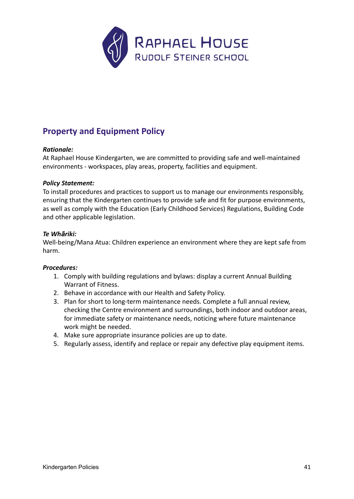

# <span id="page-40-0"></span>**Property and Equipment Policy**

# *Rationale:*

At Raphael House Kindergarten, we are committed to providing safe and well-maintained environments - workspaces, play areas, property, facilities and equipment.

### *Policy Statement:*

To install procedures and practices to support us to manage our environments responsibly, ensuring that the Kindergarten continues to provide safe and fit for purpose environments, as well as comply with the Education (Early Childhood Services) Regulations, Building Code and other applicable legislation.

### *Te Whāriki:*

Well-being/Mana Atua: Children experience an environment where they are kept safe from harm.

- 1. Comply with building regulations and bylaws: display a current Annual Building Warrant of Fitness.
- 2. Behave in accordance with our Health and Safety Policy.
- 3. Plan for short to long-term maintenance needs. Complete a full annual review, checking the Centre environment and surroundings, both indoor and outdoor areas, for immediate safety or maintenance needs, noticing where future maintenance work might be needed.
- 4. Make sure appropriate insurance policies are up to date.
- 5. Regularly assess, identify and replace or repair any defective play equipment items.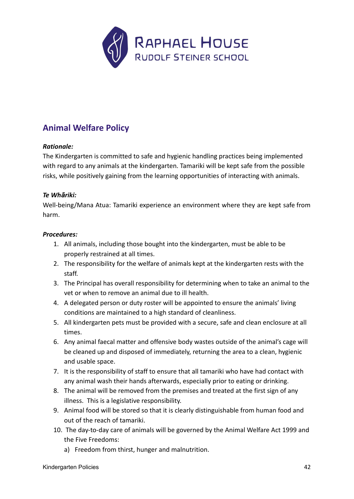

# <span id="page-41-0"></span>**Animal Welfare Policy**

# *Rationale:*

The Kindergarten is committed to safe and hygienic handling practices being implemented with regard to any animals at the kindergarten. Tamariki will be kept safe from the possible risks, while positively gaining from the learning opportunities of interacting with animals.

# *Te Whāriki:*

Well-being/Mana Atua: Tamariki experience an environment where they are kept safe from harm.

- 1. All animals, including those bought into the kindergarten, must be able to be properly restrained at all times.
- 2. The responsibility for the welfare of animals kept at the kindergarten rests with the staff.
- 3. The Principal has overall responsibility for determining when to take an animal to the vet or when to remove an animal due to ill health.
- 4. A delegated person or duty roster will be appointed to ensure the animals' living conditions are maintained to a high standard of cleanliness.
- 5. All kindergarten pets must be provided with a secure, safe and clean enclosure at all times.
- 6. Any animal faecal matter and offensive body wastes outside of the animal's cage will be cleaned up and disposed of immediately, returning the area to a clean, hygienic and usable space.
- 7. It is the responsibility of staff to ensure that all tamariki who have had contact with any animal wash their hands afterwards, especially prior to eating or drinking.
- 8. The animal will be removed from the premises and treated at the first sign of any illness. This is a legislative responsibility.
- 9. Animal food will be stored so that it is clearly distinguishable from human food and out of the reach of tamariki.
- 10. The day-to-day care of animals will be governed by the Animal Welfare Act 1999 and the Five Freedoms:
	- a) Freedom from thirst, hunger and malnutrition.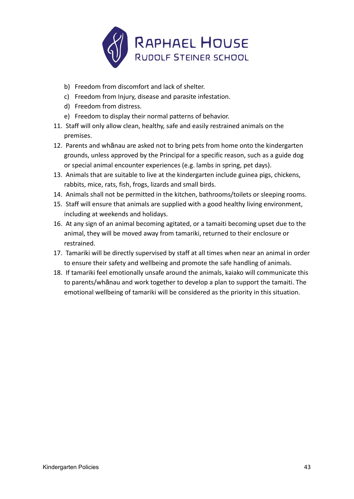

- b) Freedom from discomfort and lack of shelter.
- c) Freedom from Injury, disease and parasite infestation.
- d) Freedom from distress.
- e) Freedom to display their normal patterns of behavior.
- 11. Staff will only allow clean, healthy, safe and easily restrained animals on the premises.
- 12. Parents and whānau are asked not to bring pets from home onto the kindergarten grounds, unless approved by the Principal for a specific reason, such as a guide dog or special animal encounter experiences (e.g. lambs in spring, pet days).
- 13. Animals that are suitable to live at the kindergarten include guinea pigs, chickens, rabbits, mice, rats, fish, frogs, lizards and small birds.
- 14. Animals shall not be permitted in the kitchen, bathrooms/toilets or sleeping rooms.
- 15. Staff will ensure that animals are supplied with a good healthy living environment, including at weekends and holidays.
- 16. At any sign of an animal becoming agitated, or a tamaiti becoming upset due to the animal, they will be moved away from tamariki, returned to their enclosure or restrained.
- 17. Tamariki will be directly supervised by staff at all times when near an animal in order to ensure their safety and wellbeing and promote the safe handling of animals.
- 18. If tamariki feel emotionally unsafe around the animals, kaiako will communicate this to parents/whānau and work together to develop a plan to support the tamaiti. The emotional wellbeing of tamariki will be considered as the priority in this situation.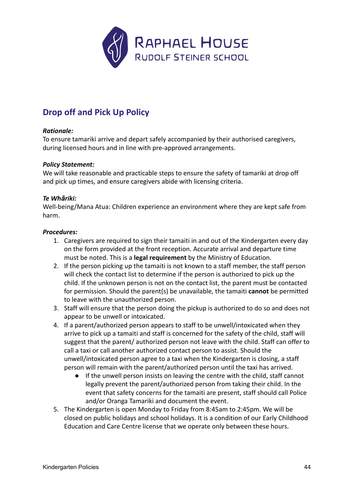

# <span id="page-43-0"></span>**Drop off and Pick Up Policy**

# *Rationale:*

To ensure tamariki arrive and depart safely accompanied by their authorised caregivers, during licensed hours and in line with pre-approved arrangements.

### *Policy Statement:*

We will take reasonable and practicable steps to ensure the safety of tamariki at drop off and pick up times, and ensure caregivers abide with licensing criteria.

# *Te Whāriki:*

Well-being/Mana Atua: Children experience an environment where they are kept safe from harm.

- 1. Caregivers are required to sign their tamaiti in and out of the Kindergarten every day on the form provided at the front reception. Accurate arrival and departure time must be noted. This is a **legal requirement** by the Ministry of Education.
- 2. If the person picking up the tamaiti is not known to a staff member, the staff person will check the contact list to determine if the person is authorized to pick up the child. If the unknown person is not on the contact list, the parent must be contacted for permission. Should the parent(s) be unavailable, the tamaiti **cannot** be permitted to leave with the unauthorized person.
- 3. Staff will ensure that the person doing the pickup is authorized to do so and does not appear to be unwell or intoxicated.
- 4. If a parent/authorized person appears to staff to be unwell/intoxicated when they arrive to pick up a tamaiti and staff is concerned for the safety of the child, staff will suggest that the parent/ authorized person not leave with the child. Staff can offer to call a taxi or call another authorized contact person to assist. Should the unwell/intoxicated person agree to a taxi when the Kindergarten is closing, a staff person will remain with the parent/authorized person until the taxi has arrived.
	- If the unwell person insists on leaving the centre with the child, staff cannot legally prevent the parent/authorized person from taking their child. In the event that safety concerns for the tamaiti are present, staff should call Police and/or Oranga Tamariki and document the event.
- 5. The Kindergarten is open Monday to Friday from 8:45am to 2:45pm. We will be closed on public holidays and school holidays. It is a condition of our Early Childhood Education and Care Centre license that we operate only between these hours.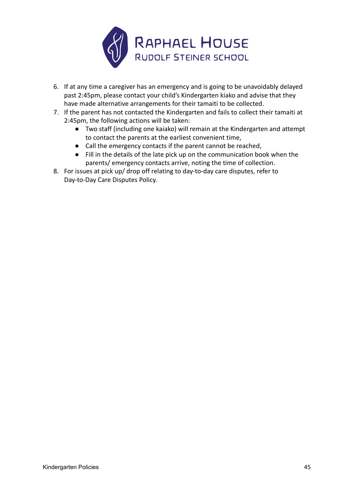

- 6. If at any time a caregiver has an emergency and is going to be unavoidably delayed past 2:45pm, please contact your child's Kindergarten kiako and advise that they have made alternative arrangements for their tamaiti to be collected.
- 7. If the parent has not contacted the Kindergarten and fails to collect their tamaiti at 2:45pm, the following actions will be taken:
	- Two staff (including one kaiako) will remain at the Kindergarten and attempt to contact the parents at the earliest convenient time,
	- Call the emergency contacts if the parent cannot be reached,
	- Fill in the details of the late pick up on the communication book when the parents/ emergency contacts arrive, noting the time of collection.
- 8. For issues at pick up/ drop off relating to day-to-day care disputes, refer to Day-to-Day Care Disputes Policy.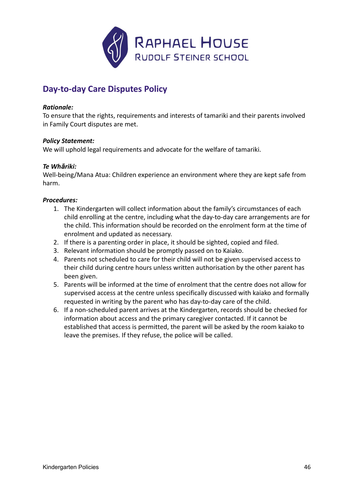

# <span id="page-45-0"></span>**Day-to-day Care Disputes Policy**

### *Rationale:*

To ensure that the rights, requirements and interests of tamariki and their parents involved in Family Court disputes are met.

### *Policy Statement:*

We will uphold legal requirements and advocate for the welfare of tamariki.

### *Te Whāriki:*

Well-being/Mana Atua: Children experience an environment where they are kept safe from harm.

- 1. The Kindergarten will collect information about the family's circumstances of each child enrolling at the centre, including what the day-to-day care arrangements are for the child. This information should be recorded on the enrolment form at the time of enrolment and updated as necessary.
- 2. If there is a parenting order in place, it should be sighted, copied and filed.
- 3. Relevant information should be promptly passed on to Kaiako.
- 4. Parents not scheduled to care for their child will not be given supervised access to their child during centre hours unless written authorisation by the other parent has been given.
- 5. Parents will be informed at the time of enrolment that the centre does not allow for supervised access at the centre unless specifically discussed with kaiako and formally requested in writing by the parent who has day-to-day care of the child.
- 6. If a non-scheduled parent arrives at the Kindergarten, records should be checked for information about access and the primary caregiver contacted. If it cannot be established that access is permitted, the parent will be asked by the room kaiako to leave the premises. If they refuse, the police will be called.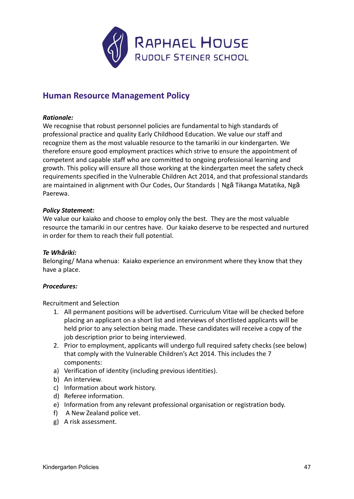

# <span id="page-46-0"></span>**Human Resource Management Policy**

### *Rationale:*

We recognise that robust personnel policies are fundamental to high standards of professional practice and quality Early Childhood Education. We value our staff and recognize them as the most valuable resource to the tamariki in our kindergarten. We therefore ensure good employment practices which strive to ensure the appointment of competent and capable staff who are committed to ongoing professional learning and growth. This policy will ensure all those working at the kindergarten meet the safety check requirements specified in the Vulnerable Children Act 2014, and that professional standards are maintained in alignment with Our Codes, Our Standards | Ngā Tikanga Matatika, Ngā Paerewa.

# *Policy Statement:*

We value our kaiako and choose to employ only the best. They are the most valuable resource the tamariki in our centres have. Our kaiako deserve to be respected and nurtured in order for them to reach their full potential.

### *Te Whāriki:*

Belonging/ Mana whenua: Kaiako experience an environment where they know that they have a place.

### *Procedures:*

Recruitment and Selection

- 1. All permanent positions will be advertised. Curriculum Vitae will be checked before placing an applicant on a short list and interviews of shortlisted applicants will be held prior to any selection being made. These candidates will receive a copy of the job description prior to being interviewed.
- 2. Prior to employment, applicants will undergo full required safety checks (see below) that comply with the Vulnerable Children's Act 2014. This includes the 7 components:
- a) Verification of identity (including previous identities).
- b) An interview.
- c) Information about work history.
- d) Referee information.
- e) Information from any relevant professional organisation or registration body.
- f) A New Zealand police vet.
- g) A risk assessment.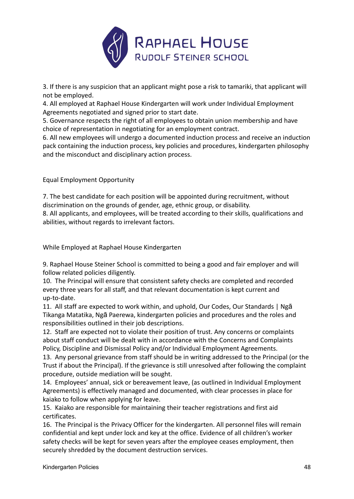

3. If there is any suspicion that an applicant might pose a risk to tamariki, that applicant will not be employed.

4. All employed at Raphael House Kindergarten will work under Individual Employment Agreements negotiated and signed prior to start date.

5. Governance respects the right of all employees to obtain union membership and have choice of representation in negotiating for an employment contract.

6. All new employees will undergo a documented induction process and receive an induction pack containing the induction process, key policies and procedures, kindergarten philosophy and the misconduct and disciplinary action process.

Equal Employment Opportunity

7. The best candidate for each position will be appointed during recruitment, without discrimination on the grounds of gender, age, ethnic group, or disability.

8. All applicants, and employees, will be treated according to their skills, qualifications and abilities, without regards to irrelevant factors.

While Employed at Raphael House Kindergarten

9. Raphael House Steiner School is committed to being a good and fair employer and will follow related policies diligently.

10. The Principal will ensure that consistent safety checks are completed and recorded every three years for all staff, and that relevant documentation is kept current and up-to-date.

11. All staff are expected to work within, and uphold, Our Codes, Our Standards | Ngā Tikanga Matatika, Ngā Paerewa, kindergarten policies and procedures and the roles and responsibilities outlined in their job descriptions.

12. Staff are expected not to violate their position of trust. Any concerns or complaints about staff conduct will be dealt with in accordance with the Concerns and Complaints Policy, Discipline and Dismissal Policy and/or Individual Employment Agreements.

13. Any personal grievance from staff should be in writing addressed to the Principal (or the Trust if about the Principal). If the grievance is still unresolved after following the complaint procedure, outside mediation will be sought.

14. Employees' annual, sick or bereavement leave, (as outlined in Individual Employment Agreements) is effectively managed and documented, with clear processes in place for kaiako to follow when applying for leave.

15. Kaiako are responsible for maintaining their teacher registrations and first aid certificates.

16. The Principal is the Privacy Officer for the kindergarten. All personnel files will remain confidential and kept under lock and key at the office. Evidence of all children's worker safety checks will be kept for seven years after the employee ceases employment, then securely shredded by the document destruction services.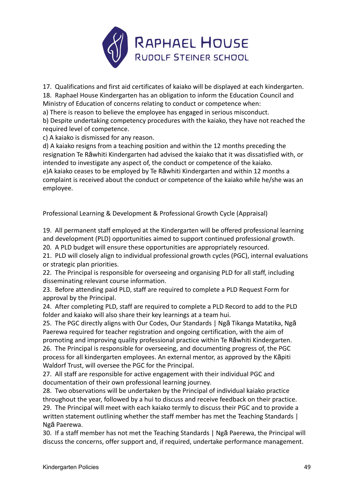

17. Qualifications and first aid certificates of kaiako will be displayed at each kindergarten. 18. Raphael House Kindergarten has an obligation to inform the Education Council and

Ministry of Education of concerns relating to conduct or competence when:

a) There is reason to believe the employee has engaged in serious misconduct.

b) Despite undertaking competency procedures with the kaiako, they have not reached the required level of competence.

c) A kaiako is dismissed for any reason.

d) A kaiako resigns from a teaching position and within the 12 months preceding the resignation Te Rāwhiti Kindergarten had advised the kaiako that it was dissatisfied with, or intended to investigate any aspect of, the conduct or competence of the kaiako. e)A kaiako ceases to be employed by Te Rāwhiti Kindergarten and within 12 months a complaint is received about the conduct or competence of the kaiako while he/she was an employee.

Professional Learning & Development & Professional Growth Cycle (Appraisal)

19. All permanent staff employed at the Kindergarten will be offered professional learning and development (PLD) opportunities aimed to support continued professional growth. 20. A PLD budget will ensure these opportunities are appropriately resourced.

21. PLD will closely align to individual professional growth cycles (PGC), internal evaluations or strategic plan priorities.

22. The Principal is responsible for overseeing and organising PLD for all staff, including disseminating relevant course information.

23. Before attending paid PLD, staff are required to complete a PLD Request Form for approval by the Principal.

24. After completing PLD, staff are required to complete a PLD Record to add to the PLD folder and kaiako will also share their key learnings at a team hui.

25. The PGC directly aligns with Our Codes, Our Standards | Ngā Tikanga Matatika, Ngā Paerewa required for teacher registration and ongoing certification, with the aim of promoting and improving quality professional practice within Te Rāwhiti Kindergarten. 26. The Principal is responsible for overseeing, and documenting progress of, the PGC process for all kindergarten employees. An external mentor, as approved by the Kāpiti Waldorf Trust, will oversee the PGC for the Principal.

27. All staff are responsible for active engagement with their individual PGC and documentation of their own professional learning journey.

28. Two observations will be undertaken by the Principal of individual kaiako practice throughout the year, followed by a hui to discuss and receive feedback on their practice.

29. The Principal will meet with each kaiako termly to discuss their PGC and to provide a written statement outlining whether the staff member has met the Teaching Standards | Ngā Paerewa.

30. If a staff member has not met the Teaching Standards | Ngā Paerewa, the Principal will discuss the concerns, offer support and, if required, undertake performance management.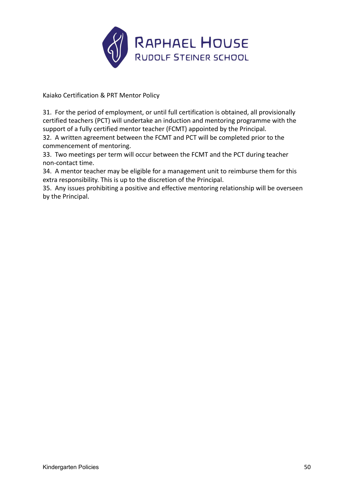

Kaiako Certification & PRT Mentor Policy

31. For the period of employment, or until full certification is obtained, all provisionally certified teachers (PCT) will undertake an induction and mentoring programme with the support of a fully certified mentor teacher (FCMT) appointed by the Principal.

32. A written agreement between the FCMT and PCT will be completed prior to the commencement of mentoring.

33. Two meetings per term will occur between the FCMT and the PCT during teacher non-contact time.

34. A mentor teacher may be eligible for a management unit to reimburse them for this extra responsibility. This is up to the discretion of the Principal.

35. Any issues prohibiting a positive and effective mentoring relationship will be overseen by the Principal.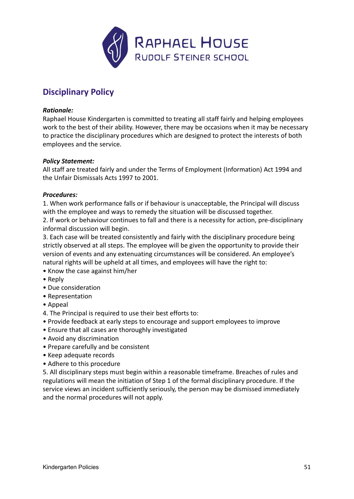

# <span id="page-50-0"></span>**Disciplinary Policy**

### *Rationale:*

Raphael House Kindergarten is committed to treating all staff fairly and helping employees work to the best of their ability. However, there may be occasions when it may be necessary to practice the disciplinary procedures which are designed to protect the interests of both employees and the service.

# *Policy Statement:*

All staff are treated fairly and under the Terms of Employment (Information) Act 1994 and the Unfair Dismissals Acts 1997 to 2001.

# *Procedures:*

1. When work performance falls or if behaviour is unacceptable, the Principal will discuss with the employee and ways to remedy the situation will be discussed together.

2. If work or behaviour continues to fall and there is a necessity for action, pre-disciplinary informal discussion will begin.

3. Each case will be treated consistently and fairly with the disciplinary procedure being strictly observed at all steps. The employee will be given the opportunity to provide their version of events and any extenuating circumstances will be considered. An employee's natural rights will be upheld at all times, and employees will have the right to:

- Know the case against him/her
- Reply
- Due consideration
- Representation
- Appeal
- 4. The Principal is required to use their best efforts to:
- Provide feedback at early steps to encourage and support employees to improve
- Ensure that all cases are thoroughly investigated
- Avoid any discrimination
- Prepare carefully and be consistent
- Keep adequate records
- Adhere to this procedure

5. All disciplinary steps must begin within a reasonable timeframe. Breaches of rules and regulations will mean the initiation of Step 1 of the formal disciplinary procedure. If the service views an incident sufficiently seriously, the person may be dismissed immediately and the normal procedures will not apply.